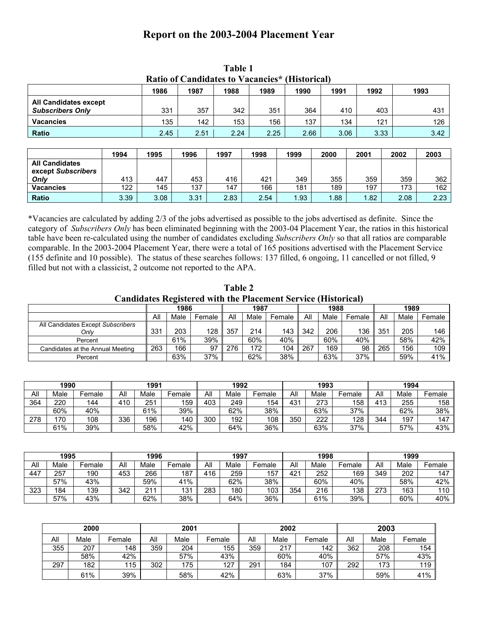## **Report on the 2003-2004 Placement Year**

|                                                         |      |      |      |      | Ratio of Candidates to Vacancies* (Historical) |      |      |      |      |      |
|---------------------------------------------------------|------|------|------|------|------------------------------------------------|------|------|------|------|------|
|                                                         |      | 1986 | 1987 | 1988 | 1989                                           | 1990 | 1991 | 1992 |      | 1993 |
| <b>All Candidates except</b><br><b>Subscribers Only</b> |      | 331  | 357  | 342  | 351                                            |      | 364  | 410  | 403  | 431  |
| <b>Vacancies</b>                                        |      | 135  | 142  | 153  | 156                                            | 137  |      | 134  | 121  | 126  |
| <b>Ratio</b>                                            |      | 2.45 | 2.51 | 2.24 | 2.25                                           | 2.66 | 3.06 |      | 3.33 | 3.42 |
|                                                         |      |      |      |      |                                                |      |      |      |      |      |
|                                                         | 1994 | 1995 | 1996 | 1997 | 1998                                           | 1999 | 2000 | 2001 | 2002 | 2003 |
| <b>All Candidates</b><br>except Subscribers             |      |      |      |      |                                                |      |      |      |      |      |
| Only                                                    | 413  | 447  | 453  | 416  | 421                                            | 349  | 355  | 359  | 359  | 362  |
| <b>Vacancies</b>                                        | 122  | 145  | 137  | 147  | 166                                            | 181  | 189  | 197  | 173  | 162  |
| <b>Ratio</b>                                            | 3.39 | 3.08 | 3.31 | 2.83 | 2.54                                           | 1.93 | 1.88 | 1.82 | 2.08 | 2.23 |

**Table 1 Ratio of Candidates to Vacancies\* (Historical)**

\*Vacancies are calculated by adding 2/3 of the jobs advertised as possible to the jobs advertised as definite. Since the category of *Subscribers Only* has been eliminated beginning with the 2003-04 Placement Year, the ratios in this historical table have been re-calculated using the number of candidates excluding *Subscribers Only* so that all ratios are comparable comparable. In the 2003-2004 Placement Year, there were a total of 165 positions advertised with the Placement Service (155 definite and 10 possible). The status of these searches follows: 137 filled, 6 ongoing, 11 cancelled or not filled, 9 filled but not with a classicist, 2 outcome not reported to the APA.

**Table 2 Candidates Registered with the Placement Service (Historical)** 

|                                           |     | 1986 |        |     | 1987 |        | 1988 |      |        | 1989 |      |        |
|-------------------------------------------|-----|------|--------|-----|------|--------|------|------|--------|------|------|--------|
|                                           | All | Male | Female | All | Male | Female | All  | Male | Female | All  | Male | Female |
| All Candidates Except Subscribers<br>Only | 331 | 203  | 128    | 357 | 214  | 143    | 342  | 206  | 136    | 351  | 205  | 146    |
| Percent                                   |     | 61%  | 39%    |     | 60%  | 40%    |      | 60%  | 40%    |      | 58%  | 42%    |
| Candidates at the Annual Meeting          | 263 | 166  | 97     | 276 | 172  | 104    | 267  | 169  | 98     | 265  | 156  | 109    |
| Percent                                   |     | 63%  | 37%    |     | 62%  | 38%    |      | 63%  | 37%    |      | 59%  | 41%    |

|     | 1990 |        |     | 1991 |        |     | 1992 |        |          | 1993 |        | 1994 |      |        |
|-----|------|--------|-----|------|--------|-----|------|--------|----------|------|--------|------|------|--------|
| All | Male | Female | All | Male | Female | All | Male | Female | All      | Male | Female | All  | Male | Female |
| 364 | 220  | 144    | 110 | 251  | 159    | 403 | 249  | 154    | 101<br>◡ | 273  | 158    | 413  | 255  | 158    |
|     | 60%  | 40%    |     | 61%  | 39%    |     | 62%  | 38%    |          | 63%  | 37%    |      | 62%  | 38%    |
| 278 | 70   | 108    | 336 | 196  | 140    | 300 | 192  | 108    | 350      | 222  | 128    | 344  | 197  | 147    |
|     | 61%  | 39%    |     | 58%  | 42%    |     | 64%  | 36%    |          | 63%  | 37%    |      | 57%  | 43%    |

|     | 1995 |        |     | 1996 |        |     | 1997 |        |                 | 1998 |        | 1999 |      |                  |
|-----|------|--------|-----|------|--------|-----|------|--------|-----------------|------|--------|------|------|------------------|
| All | Male | Female | All | Male | Female | All | Male | Female | All             | Male | Female | All  | Male | Female           |
| 447 | 257  | 190    | 453 | 266  | 187    | 416 | 259  | 157    | 42 <sup>1</sup> | 252  | 169    | 349  | 202  | 147              |
|     | 57%  | 43%    |     | 59%  | 41%    |     | 62%  | 38%    |                 | 60%  | 40%    |      | 58%  | 42%              |
| 323 | 84   | 139    | 342 | 211  | 131    | 283 | 180  | 103    | 354             | 216  | 138    | 273  | 163  | 110 <sub>1</sub> |
|     | 57%  | 43%    |     | 62%  | 38%    |     | 64%  | 36%    |                 | 61%  | 39%    |      | 60%  | 40%              |

|     | 2000 |        | 2001 |      |        |     | 2002 |        | 2003 |      |        |
|-----|------|--------|------|------|--------|-----|------|--------|------|------|--------|
| Αll | Male | Female | Αll  | Male | Female | All | Male | Female | All  | Male | Female |
| 355 | 207  | 148    | 359  | 204  | 155    | 359 | 217  | 142    | 362  | 208  | 154    |
|     | 58%  | 42%    |      | 57%  | 43%    |     | 60%  | 40%    |      | 57%  | 43%    |
| 297 | 182  | 115    | 302  | 175  | 127    | 291 | 184  | 107    | 292  | 173  | 119    |
|     | 61%  | 39%    |      | 58%  | 42%    |     | 63%  | 37%    |      | 59%  | 41%    |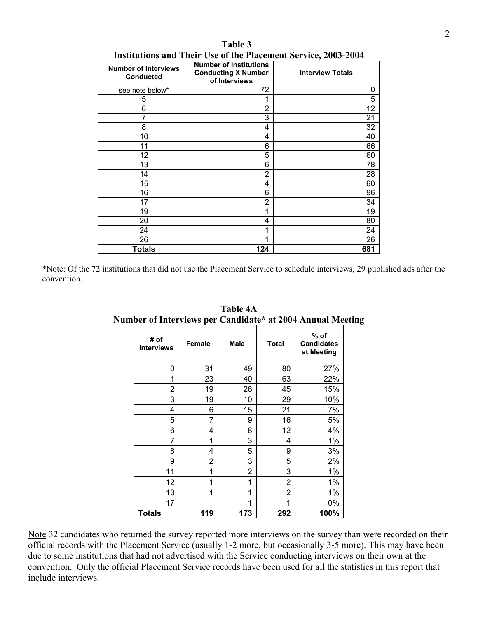| <b>Number of Interviews</b><br><b>Conducted</b> | <b>Number of Institutions</b><br><b>Conducting X Number</b><br>of Interviews | <b>Interview Totals</b> |
|-------------------------------------------------|------------------------------------------------------------------------------|-------------------------|
| see note below*                                 | 72                                                                           | 0                       |
| 5                                               | 1                                                                            | 5                       |
| 6                                               | $\overline{2}$                                                               | 12                      |
| 7                                               | 3                                                                            | 21                      |
| 8                                               | 4                                                                            | 32                      |
| 10                                              | 4                                                                            | 40                      |
| 11                                              | 6                                                                            | 66                      |
| 12                                              | 5                                                                            | 60                      |
| 13                                              | 6                                                                            | 78                      |
| 14                                              | $\overline{2}$                                                               | 28                      |
| 15                                              | 4                                                                            | 60                      |
| 16                                              | 6                                                                            | 96                      |
| 17                                              | 2                                                                            | 34                      |
| 19                                              | 1                                                                            | 19                      |
| 20                                              | 4                                                                            | 80                      |
| 24                                              | 1                                                                            | 24                      |
| 26                                              | 1                                                                            | 26                      |
| <b>Totals</b>                                   | 124                                                                          | 681                     |

| Table 3                                                               |
|-----------------------------------------------------------------------|
| <b>Institutions and Their Use of the Placement Service, 2003-2004</b> |

\*Note: Of the 72 institutions that did not use the Placement Service to schedule interviews, 29 published ads after the convention.

| # of<br><b>Interviews</b> | <b>Female</b> | Male | <b>Total</b> | $%$ of<br><b>Candidates</b><br>at Meeting |
|---------------------------|---------------|------|--------------|-------------------------------------------|
| 0                         | 31            | 49   | 80           | 27%                                       |
| 1                         | 23            | 40   | 63           | 22%                                       |
| 2                         | 19            | 26   | 45           | 15%                                       |
| 3                         | 19            | 10   | 29           | 10%                                       |
| 4                         | 6             | 15   | 21           | 7%                                        |
| 5                         | 7             | 9    | 16           | 5%                                        |
| 6                         | 4             | 8    | 12           | 4%                                        |
| 7                         | 1             | 3    | 4            | 1%                                        |
| 8                         | 4             | 5    | 9            | 3%                                        |
| 9                         | 2             | 3    | 5            | 2%                                        |
| 11                        | 1             | 2    | 3            | 1%                                        |
| 12                        | 1             | 1    | 2            | 1%                                        |
| 13                        | 1             | 1    | 2            | 1%                                        |
| 17                        |               | 1    | 1            | 0%                                        |
| <b>Totals</b>             | 119           | 173  | 292          | 100%                                      |

**Table 4A Number of Interviews per Candidate\* at 2004 Annual Meeting**

Note 32 candidates who returned the survey reported more interviews on the survey than were recorded on their official records with the Placement Service (usually 1-2 more, but occasionally 3-5 more). This may have been due to some institutions that had not advertised with the Service conducting interviews on their own at the convention. Only the official Placement Service records have been used for all the statistics in this report that include interviews.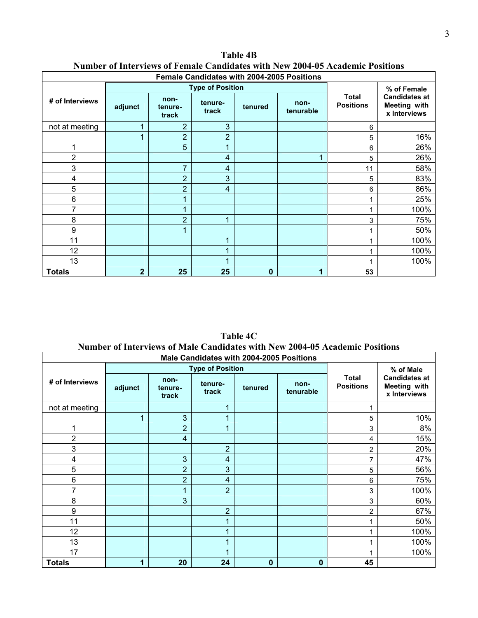| Female Candidates with 2004-2005 Positions |                |                          |                         |          |                   |                                  |                                                      |  |  |  |  |  |
|--------------------------------------------|----------------|--------------------------|-------------------------|----------|-------------------|----------------------------------|------------------------------------------------------|--|--|--|--|--|
|                                            |                |                          | <b>Type of Position</b> |          |                   |                                  | % of Female                                          |  |  |  |  |  |
| # of Interviews                            | adjunct        | non-<br>tenure-<br>track | tenure-<br>track        | tenured  | non-<br>tenurable | <b>Total</b><br><b>Positions</b> | <b>Candidates at</b><br>Meeting with<br>x Interviews |  |  |  |  |  |
| not at meeting                             |                | $\overline{2}$           | 3                       |          |                   | 6                                |                                                      |  |  |  |  |  |
|                                            |                | $\overline{2}$           | $\overline{2}$          |          |                   | 5                                | 16%                                                  |  |  |  |  |  |
|                                            |                | 5                        |                         |          |                   | 6                                | 26%                                                  |  |  |  |  |  |
| 2                                          |                |                          | 4                       |          |                   | 5                                | 26%                                                  |  |  |  |  |  |
| 3                                          |                | $\overline{7}$           | 4                       |          |                   | 11                               | 58%                                                  |  |  |  |  |  |
| 4                                          |                | $\overline{2}$           | 3                       |          |                   | 5                                | 83%                                                  |  |  |  |  |  |
| 5                                          |                | $\overline{2}$           | 4                       |          |                   | 6                                | 86%                                                  |  |  |  |  |  |
| 6                                          |                |                          |                         |          |                   | 1                                | 25%                                                  |  |  |  |  |  |
| 7                                          |                |                          |                         |          |                   | 1                                | 100%                                                 |  |  |  |  |  |
| 8                                          |                | $\overline{2}$           |                         |          |                   | 3                                | 75%                                                  |  |  |  |  |  |
| 9                                          |                |                          |                         |          |                   | 1                                | 50%                                                  |  |  |  |  |  |
| 11                                         |                |                          |                         |          |                   | 1                                | 100%                                                 |  |  |  |  |  |
| 12                                         |                |                          |                         |          |                   | 1                                | 100%                                                 |  |  |  |  |  |
| 13                                         |                |                          |                         |          |                   | 4                                | 100%                                                 |  |  |  |  |  |
| <b>Totals</b>                              | $\overline{2}$ | 25                       | 25                      | $\bf{0}$ |                   | 53                               |                                                      |  |  |  |  |  |

**Table 4B Number of Interviews of Female Candidates with New 2004-05 Academic Positions** 

**Table 4C Number of Interviews of Male Candidates with New 2004-05 Academic Positions** 

|                 |         |                          |                         | Male Candidates with 2004-2005 Positions |                   |                                  |                                                             |
|-----------------|---------|--------------------------|-------------------------|------------------------------------------|-------------------|----------------------------------|-------------------------------------------------------------|
|                 |         |                          | <b>Type of Position</b> |                                          |                   |                                  | % of Male                                                   |
| # of Interviews | adjunct | non-<br>tenure-<br>track | tenure-<br>track        | tenured                                  | non-<br>tenurable | <b>Total</b><br><b>Positions</b> | <b>Candidates at</b><br><b>Meeting with</b><br>x Interviews |
| not at meeting  |         |                          |                         |                                          |                   |                                  |                                                             |
|                 | 1       | 3                        |                         |                                          |                   | 5                                | 10%                                                         |
|                 |         | $\overline{2}$           |                         |                                          |                   | 3                                | 8%                                                          |
| $\overline{2}$  |         | 4                        |                         |                                          |                   | 4                                | 15%                                                         |
| 3               |         |                          | $\overline{2}$          |                                          |                   | 2                                | 20%                                                         |
| 4               |         | 3                        | 4                       |                                          |                   | $\overline{7}$                   | 47%                                                         |
| 5               |         | $\overline{2}$           | 3                       |                                          |                   | 5                                | 56%                                                         |
| $\,6$           |         | $\overline{2}$           | 4                       |                                          |                   | 6                                | 75%                                                         |
| 7               |         |                          | $\overline{2}$          |                                          |                   | 3                                | 100%                                                        |
| 8               |         | 3                        |                         |                                          |                   | 3                                | 60%                                                         |
| 9               |         |                          | $\overline{2}$          |                                          |                   | 2                                | 67%                                                         |
| 11              |         |                          |                         |                                          |                   |                                  | 50%                                                         |
| 12              |         |                          |                         |                                          |                   |                                  | 100%                                                        |
| 13              |         |                          |                         |                                          |                   |                                  | 100%                                                        |
| 17              |         |                          |                         |                                          |                   |                                  | 100%                                                        |
| <b>Totals</b>   | 1       | 20                       | 24                      | $\boldsymbol{0}$                         | $\mathbf 0$       | 45                               |                                                             |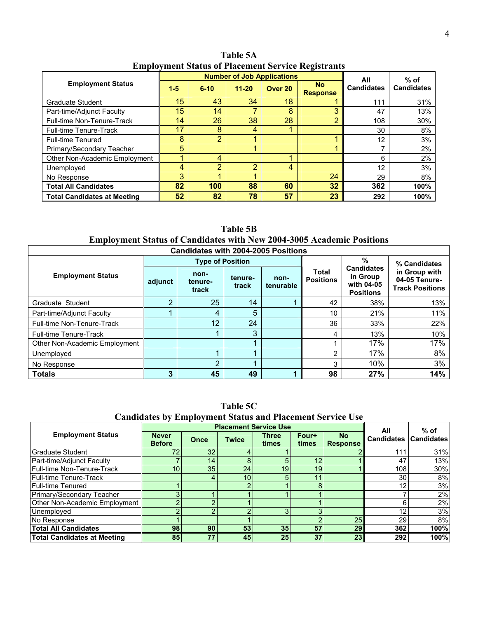|                                    |       |                |                | <b>Number of Job Applications</b> |                              | All               | $%$ of            |  |
|------------------------------------|-------|----------------|----------------|-----------------------------------|------------------------------|-------------------|-------------------|--|
| <b>Employment Status</b>           | $1-5$ | $6 - 10$       | $11 - 20$      | Over 20                           | <b>No</b><br><b>Response</b> | <b>Candidates</b> | <b>Candidates</b> |  |
| Graduate Student                   | 15    | 43             | 34             | 18                                |                              | 111               | 31%               |  |
| Part-time/Adjunct Faculty          | 15    | 14             | ⇁              | 8                                 | 3                            | 47                | 13%               |  |
| Full-time Non-Tenure-Track         | 14    | 26             | 38             | 28                                | 2                            | 108               | 30%               |  |
| <b>Full-time Tenure-Track</b>      | 17    | 8              | 4              |                                   |                              | 30                | 8%                |  |
| <b>Full-time Tenured</b>           | 8     | $\overline{2}$ |                |                                   |                              | 12                | 3%                |  |
| Primary/Secondary Teacher          | 5     |                |                |                                   |                              |                   | 2%                |  |
| Other Non-Academic Employment      |       | 4              |                |                                   |                              | 6                 | 2%                |  |
| Unemployed                         | 4     | $\overline{2}$ | $\overline{2}$ | 4                                 |                              | 12                | 3%                |  |
| No Response                        | 3     |                |                |                                   | 24                           | 29                | 8%                |  |
| <b>Total All Candidates</b>        | 82    | 100            | 88             | 60                                | 32                           | 362               | 100%              |  |
| <b>Total Candidates at Meeting</b> | 52    | 82             | 78             | 57                                | 23                           | 292               | 100%              |  |

**Table 5A Employment Status of Placement Service Registrants** 

**Table 5B Employment Status of Candidates with New 2004-3005 Academic Positions** 

|                               | <b>Candidates with 2004-2005 Positions</b> |                          |                  |                   |                           |                                                                 |                                                          |  |  |  |  |  |
|-------------------------------|--------------------------------------------|--------------------------|------------------|-------------------|---------------------------|-----------------------------------------------------------------|----------------------------------------------------------|--|--|--|--|--|
|                               |                                            | <b>Type of Position</b>  |                  |                   |                           | $\frac{0}{0}$                                                   | % Candidates                                             |  |  |  |  |  |
| <b>Employment Status</b>      | adjunct                                    | non-<br>tenure-<br>track | tenure-<br>track | non-<br>tenurable | Total<br><b>Positions</b> | <b>Candidates</b><br>in Group<br>with 04-05<br><b>Positions</b> | in Group with<br>04-05 Tenure-<br><b>Track Positions</b> |  |  |  |  |  |
| Graduate Student              | ∩                                          | 25                       | 14               |                   | 42                        | 38%                                                             | 13%                                                      |  |  |  |  |  |
| Part-time/Adjunct Faculty     |                                            | 4                        | 5                |                   | 10                        | 21%                                                             | 11%                                                      |  |  |  |  |  |
| Full-time Non-Tenure-Track    |                                            | 12                       | 24               |                   | 36                        | 33%                                                             | 22%                                                      |  |  |  |  |  |
| Full-time Tenure-Track        |                                            |                          | 3                |                   | 4                         | 13%                                                             | 10%                                                      |  |  |  |  |  |
| Other Non-Academic Employment |                                            |                          |                  |                   |                           | 17%                                                             | 17%                                                      |  |  |  |  |  |
| Unemployed                    |                                            |                          |                  |                   | $\overline{2}$            | 17%                                                             | 8%                                                       |  |  |  |  |  |
| No Response                   |                                            | າ                        |                  |                   | 3                         | 10%                                                             | 3%                                                       |  |  |  |  |  |
| <b>Totals</b>                 | 3                                          | 45                       | 49               |                   | 98                        | 27%                                                             | 14%                                                      |  |  |  |  |  |

**Table 5C** 

**Candidates by Employment Status and Placement Service Use**

|                                    |                               |      |              | <b>Placement Service Use</b> |                |                              | All               | $%$ of            |
|------------------------------------|-------------------------------|------|--------------|------------------------------|----------------|------------------------------|-------------------|-------------------|
| <b>Employment Status</b>           | <b>Never</b><br><b>Before</b> | Once | <b>Twice</b> | <b>Three</b><br>times        | Four+<br>times | <b>No</b><br><b>Response</b> | <b>Candidates</b> | <b>Candidates</b> |
| <b>Graduate Student</b>            | 72 <sub>1</sub>               | 32   |              |                              |                |                              | 111               | 31%               |
| Part-time/Adjunct Faculty          |                               | 14   |              |                              | 12             |                              | 47                | 13%               |
| Full-time Non-Tenure-Track         | 10 <sup>1</sup>               | 35   | 24           | 19 <sub>1</sub>              | 19             |                              | 108               | 30%               |
| Full-time Tenure-Track             |                               | 4    | 10           |                              | 11             |                              | 30                | 8%                |
| <b>Full-time Tenured</b>           |                               |      |              |                              | 8              |                              | 12                | 3%                |
| Primary/Secondary Teacher          |                               |      |              |                              |                |                              |                   | 2%                |
| Other Non-Academic Employment      |                               | c    |              |                              |                |                              |                   | 2%                |
| Unemployed                         |                               | 2    |              |                              | 3              |                              | 12                | 3%                |
| No Response                        |                               |      |              |                              | ິ              | 25                           | 29                | 8%                |
| <b>Total All Candidates</b>        | 98 <sub>1</sub>               | 90   | 53           | 35                           | 57             | 29                           | 362               | 100%              |
| <b>Total Candidates at Meeting</b> | 85                            | 77   | 45           | 25                           | 37             | 23                           | 292               | 100%              |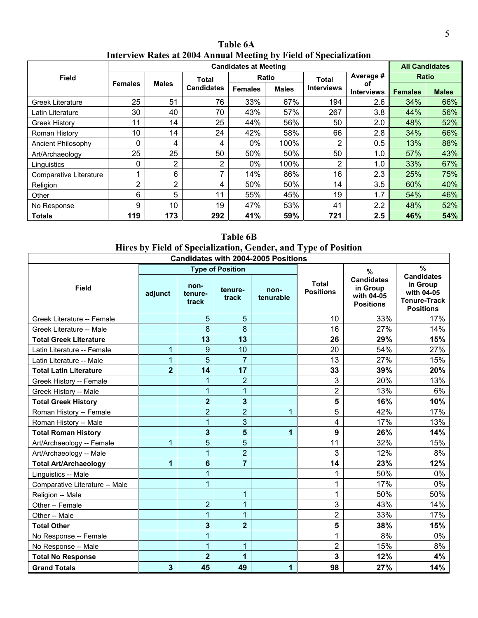| <b>Table 6A</b>                                                          |
|--------------------------------------------------------------------------|
| <b>Interview Rates at 2004 Annual Meeting by Field of Specialization</b> |

|                         |                |              |                   | <b>Candidates at Meeting</b> |              |                   |                         | <b>All Candidates</b> |              |
|-------------------------|----------------|--------------|-------------------|------------------------------|--------------|-------------------|-------------------------|-----------------------|--------------|
| <b>Field</b>            |                |              | Total             |                              | Ratio        | <b>Total</b>      | Average #               | <b>Ratio</b>          |              |
|                         | <b>Females</b> | <b>Males</b> | <b>Candidates</b> | <b>Females</b>               | <b>Males</b> | <b>Interviews</b> | оf<br><b>Interviews</b> | <b>Females</b>        | <b>Males</b> |
| <b>Greek Literature</b> | 25             | 51           | 76                | 33%                          | 67%          | 194               | 2.6                     | 34%                   | 66%          |
| Latin Literature        | 30             | 40           | 70                | 43%                          | 57%          | 267               | 3.8                     | 44%                   | 56%          |
| <b>Greek History</b>    | 11             | 14           | 25                | 44%                          | 56%          | 50                | 2.0                     | 48%                   | 52%          |
| Roman History           | 10             | 14           | 24                | 42%                          | 58%          | 66                | 2.8                     | 34%                   | 66%          |
| Ancient Philosophy      | 0              | 4            | 4                 | 0%                           | 100%         | 2                 | 0.5                     | 13%                   | 88%          |
| Art/Archaeology         | 25             | 25           | 50                | 50%                          | 50%          | 50                | 1.0                     | 57%                   | 43%          |
| Linguistics             | 0              | 2            | 2                 | 0%                           | 100%         | 2                 | 1.0                     | 33%                   | 67%          |
| Comparative Literature  |                | 6            | ⇁                 | 14%                          | 86%          | 16                | 2.3                     | 25%                   | 75%          |
| Religion                | 2              | 2            | 4                 | 50%                          | 50%          | 14                | 3.5                     | 60%                   | 40%          |
| Other                   | 6              | 5            | 11                | 55%                          | 45%          | 19                | 1.7                     | 54%                   | 46%          |
| No Response             | 9              | 10           | 19                | 47%                          | 53%          | 41                | 2.2                     | 48%                   | 52%          |
| <b>Totals</b>           | 119            | 173          | 292               | 41%                          | 59%          | 721               | 2.5                     | 46%                   | 54%          |

**Table 6B Hires by Field of Specialization, Gender, and Type of Position** 

| <b>Candidates with 2004-2005 Positions</b> |                |                          |                         |                   |                                  |                                                                 |                                                                                        |  |  |  |  |  |
|--------------------------------------------|----------------|--------------------------|-------------------------|-------------------|----------------------------------|-----------------------------------------------------------------|----------------------------------------------------------------------------------------|--|--|--|--|--|
|                                            |                |                          | <b>Type of Position</b> |                   |                                  | %                                                               | $\%$                                                                                   |  |  |  |  |  |
| <b>Field</b>                               | adjunct        | non-<br>tenure-<br>track | tenure-<br>track        | non-<br>tenurable | <b>Total</b><br><b>Positions</b> | <b>Candidates</b><br>in Group<br>with 04-05<br><b>Positions</b> | <b>Candidates</b><br>in Group<br>with 04-05<br><b>Tenure-Track</b><br><b>Positions</b> |  |  |  |  |  |
| Greek Literature -- Female                 |                | 5                        | 5                       |                   | 10                               | 33%                                                             | 17%                                                                                    |  |  |  |  |  |
| Greek Literature -- Male                   |                | 8                        | 8                       |                   | 16                               | 27%                                                             | 14%                                                                                    |  |  |  |  |  |
| <b>Total Greek Literature</b>              |                | 13                       | 13                      |                   | 26                               | 29%                                                             | 15%                                                                                    |  |  |  |  |  |
| Latin Literature -- Female                 | 1              | 9                        | 10                      |                   | 20                               | 54%                                                             | 27%                                                                                    |  |  |  |  |  |
| Latin Literature -- Male                   | 1              | 5                        | $\overline{7}$          |                   | 13                               | 27%                                                             | 15%                                                                                    |  |  |  |  |  |
| <b>Total Latin Literature</b>              | $\mathbf{2}$   | 14                       | 17                      |                   | 33                               | 39%                                                             | 20%                                                                                    |  |  |  |  |  |
| Greek History -- Female                    |                | 1                        | $\overline{2}$          |                   | 3                                | 20%                                                             | 13%                                                                                    |  |  |  |  |  |
| Greek History -- Male                      |                | 1                        | 1                       |                   | 2                                | 13%                                                             | 6%                                                                                     |  |  |  |  |  |
| <b>Total Greek History</b>                 |                | $\overline{\mathbf{2}}$  | 3                       |                   | 5                                | 16%                                                             | 10%                                                                                    |  |  |  |  |  |
| Roman History -- Female                    |                | $\overline{2}$           | $\overline{2}$          | 1                 | 5                                | 42%                                                             | 17%                                                                                    |  |  |  |  |  |
| Roman History -- Male                      |                | $\overline{1}$           | 3                       |                   | 4                                | 17%                                                             | 13%                                                                                    |  |  |  |  |  |
| <b>Total Roman History</b>                 |                | 3                        | 5                       | 1                 | 9                                | 26%                                                             | 14%                                                                                    |  |  |  |  |  |
| Art/Archaeology -- Female                  | 1              | 5                        | 5                       |                   | 11                               | 32%                                                             | 15%                                                                                    |  |  |  |  |  |
| Art/Archaeology -- Male                    |                | 1                        | $\overline{2}$          |                   | 3                                | 12%                                                             | 8%                                                                                     |  |  |  |  |  |
| <b>Total Art/Archaeology</b>               | 1              | 6                        | $\overline{7}$          |                   | 14                               | 23%                                                             | 12%                                                                                    |  |  |  |  |  |
| Linguistics -- Male                        |                | 1                        |                         |                   |                                  | 50%                                                             | 0%                                                                                     |  |  |  |  |  |
| Comparative Literature -- Male             |                | 1                        |                         |                   | 1                                | 17%                                                             | $0\%$                                                                                  |  |  |  |  |  |
| Religion -- Male                           |                |                          | 1                       |                   | 1                                | 50%                                                             | 50%                                                                                    |  |  |  |  |  |
| Other -- Female                            |                | $\overline{2}$           | 1                       |                   | 3                                | 43%                                                             | 14%                                                                                    |  |  |  |  |  |
| Other -- Male                              |                | $\overline{1}$           | 1                       |                   | $\overline{2}$                   | 33%                                                             | 17%                                                                                    |  |  |  |  |  |
| <b>Total Other</b>                         |                | 3                        | $\overline{\mathbf{2}}$ |                   | 5                                | 38%                                                             | 15%                                                                                    |  |  |  |  |  |
| No Response -- Female                      |                | $\overline{1}$           |                         |                   | 1                                | 8%                                                              | 0%                                                                                     |  |  |  |  |  |
| No Response -- Male                        |                | 1                        | 1                       |                   | $\overline{2}$                   | 15%                                                             | 8%                                                                                     |  |  |  |  |  |
| <b>Total No Response</b>                   |                | $\overline{2}$           | 1                       |                   | 3                                | 12%                                                             | 4%                                                                                     |  |  |  |  |  |
| <b>Grand Totals</b>                        | $\overline{3}$ | 45                       | 49                      | 1                 | 98                               | 27%                                                             | 14%                                                                                    |  |  |  |  |  |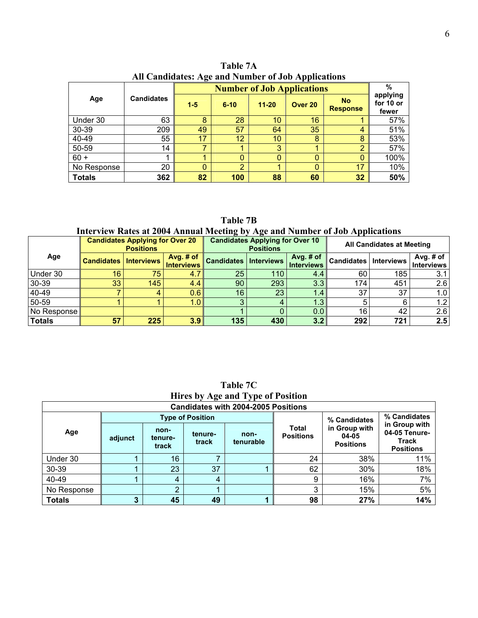| $50 - 12$ p particles and |                   |         |                |           |                                   |                              |                                |  |  |  |  |  |
|---------------------------|-------------------|---------|----------------|-----------|-----------------------------------|------------------------------|--------------------------------|--|--|--|--|--|
|                           |                   |         |                |           | <b>Number of Job Applications</b> |                              | $\frac{9}{6}$                  |  |  |  |  |  |
| Age                       | <b>Candidates</b> | $1 - 5$ | $6 - 10$       | $11 - 20$ | Over 20                           | <b>No</b><br><b>Response</b> | applying<br>for 10 or<br>fewer |  |  |  |  |  |
| Under 30                  | 63                | 8       | 28             | 10        | 16                                |                              | 57%                            |  |  |  |  |  |
| 30-39                     | 209               | 49      | 57             | 64        | 35                                | 4                            | 51%                            |  |  |  |  |  |
| 40-49                     | 55                | 17      | 12             | 10        | 8                                 | 8                            | 53%                            |  |  |  |  |  |
| 50-59                     | 14                | 7       | 1              | 3         |                                   | 2                            | 57%                            |  |  |  |  |  |
| $60 +$                    |                   | 1       | $\mathbf{0}$   | 0         | 0                                 | $\Omega$                     | 100%                           |  |  |  |  |  |
| No Response               | 20                | 0       | $\overline{2}$ |           | 0                                 | 17                           | 10%                            |  |  |  |  |  |
| <b>Totals</b>             | 362               | 82      | 100            | 88        | 60                                | 32                           | 50%                            |  |  |  |  |  |

**Table 7A All Candidates: Age and Number of Job Applications**

**Table 7B** 

**Interview Rates at 2004 Annual Meeting by Age and Number of Job Applications** 

|               |                   | <b>Candidates Applying for Over 20</b><br><b>Positions</b> |                                |                   | <b>Candidates Applying for Over 10</b><br><b>Positions</b> |                                  | <b>All Candidates at Meeting</b> |     |                           |  |
|---------------|-------------------|------------------------------------------------------------|--------------------------------|-------------------|------------------------------------------------------------|----------------------------------|----------------------------------|-----|---------------------------|--|
| Age           | <b>Candidates</b> | <b>Interviews</b>                                          | Avg. # of<br><b>Interviews</b> | <b>Candidates</b> | <b>Interviews</b>                                          | Avg. $#$ of<br><b>Interviews</b> | <b>Candidates   Interviews</b>   |     | Avg. $#$ of<br>Interviews |  |
| Under 30      | 16                | 75 <sub>1</sub>                                            | 4.7                            | 25                | 110.                                                       | 4.4                              | 60                               | 185 | 3.1                       |  |
| 30-39         | 33                | 145                                                        | 4.4                            | 90                | 293                                                        | 3.3                              | 174                              | 451 | 2.6                       |  |
| 40-49         |                   |                                                            | 0.6                            | 16                | 23                                                         | 1.4 <sub>1</sub>                 | 37                               | 37  | 1.0                       |  |
| 50-59         |                   |                                                            | 1.0 <sub>h</sub>               |                   |                                                            | 1.3                              | 5                                |     | 1.2                       |  |
| No Response   |                   |                                                            |                                |                   |                                                            | 0.0                              | 16                               | 42  | 2.6                       |  |
| <b>Totals</b> | 57                | 225                                                        | 3.9                            | 135               | 430                                                        | 3.2                              | 292                              | 721 | 2.5                       |  |

| <b>Candidates with 2004-2005 Positions</b> |         |                          |                         |                   |                           |                                            |                                                                    |  |  |  |  |  |
|--------------------------------------------|---------|--------------------------|-------------------------|-------------------|---------------------------|--------------------------------------------|--------------------------------------------------------------------|--|--|--|--|--|
|                                            |         |                          | <b>Type of Position</b> |                   |                           | % Candidates                               | % Candidates                                                       |  |  |  |  |  |
| Age                                        | adjunct | non-<br>tenure-<br>track | tenure-<br>track        | non-<br>tenurable | Total<br><b>Positions</b> | in Group with<br>04-05<br><b>Positions</b> | in Group with<br>04-05 Tenure-<br><b>Track</b><br><b>Positions</b> |  |  |  |  |  |
| Under 30                                   |         | 16                       |                         |                   | 24                        | 38%                                        | 11%                                                                |  |  |  |  |  |
| 30-39                                      |         | 23                       | 37                      |                   | 62                        | 30%                                        | 18%                                                                |  |  |  |  |  |
| 40-49                                      |         | 4                        | 4                       |                   | 9                         | 16%                                        | 7%                                                                 |  |  |  |  |  |
| No Response                                |         | റ                        |                         |                   | 3                         | 15%                                        | 5%                                                                 |  |  |  |  |  |
| <b>Totals</b>                              | 3       | 45                       | 49                      |                   | 98                        | 27%                                        | 14%                                                                |  |  |  |  |  |

**Table 7C Hires by Age and Type of Position**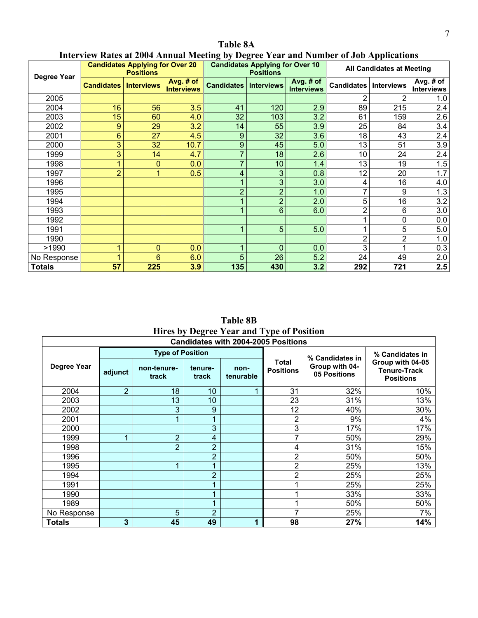|               |                   | <b>Candidates Applying for Over 20</b><br><b>Positions</b> |                                | $\frac{1}{1000}$ and $\frac{1}{1000}$ . There is no called $\frac{1}{1000}$ by $\frac{1}{1000}$ and $\frac{1}{1000}$ is the set of $\frac{1}{1000}$ | <b>Candidates Applying for Over 10</b><br><b>Positions</b> |                                | <b>All Candidates at Meeting</b> |                   |                                             |  |
|---------------|-------------------|------------------------------------------------------------|--------------------------------|-----------------------------------------------------------------------------------------------------------------------------------------------------|------------------------------------------------------------|--------------------------------|----------------------------------|-------------------|---------------------------------------------|--|
| Degree Year   | <b>Candidates</b> | <b>Interviews</b>                                          | Avg. # of<br><b>Interviews</b> | <b>Candidates   Interviews  </b>                                                                                                                    |                                                            | Avg. # of<br><b>Interviews</b> | <b>Candidates</b>                | <b>Interviews</b> | Avg. # $\overline{of}$<br><b>Interviews</b> |  |
| 2005          |                   |                                                            |                                |                                                                                                                                                     |                                                            |                                |                                  | 2                 | 1.0                                         |  |
| 2004          | 16                | 56                                                         | 3.5                            | 41                                                                                                                                                  | 120                                                        | 2.9                            | 89                               | 215               | 2.4                                         |  |
| 2003          | 15                | 60                                                         | 4.0                            | 32                                                                                                                                                  | 103                                                        | 3.2                            | 61                               | 159               | 2.6                                         |  |
| 2002          | 9                 | 29                                                         | 3.2                            | 14                                                                                                                                                  | 55                                                         | 3.9                            | 25                               | 84                | 3.4                                         |  |
| 2001          | $6\phantom{1}$    | 27                                                         | 4.5                            | 9                                                                                                                                                   | 32                                                         | 3.6                            | 18                               | 43                | $\overline{2.4}$                            |  |
| 2000          | 3                 | 32                                                         | 10.7                           | 9                                                                                                                                                   | 45                                                         | 5.0                            | 13                               | 51                | $\overline{3.9}$                            |  |
| 1999          | 3                 | 14                                                         | 4.7                            | 7                                                                                                                                                   | 18                                                         | 2.6                            | 10                               | 24                | 2.4                                         |  |
| 1998          | 1                 | 0                                                          | 0.0                            | 7                                                                                                                                                   | 10                                                         | 1.4                            | 13                               | 19                | 1.5                                         |  |
| 1997          | $\overline{2}$    |                                                            | 0.5                            | 4                                                                                                                                                   | 3                                                          | 0.8                            | 12                               | 20                | 1.7                                         |  |
| 1996          |                   |                                                            |                                |                                                                                                                                                     | 3                                                          | 3.0                            | 4                                | 16                | 4.0                                         |  |
| 1995          |                   |                                                            |                                | $\overline{2}$                                                                                                                                      | $\overline{2}$                                             | 1.0                            | 7                                | 9                 | 1.3                                         |  |
| 1994          |                   |                                                            |                                |                                                                                                                                                     | 2                                                          | 2.0                            | 5                                | 16                | $\overline{3.2}$                            |  |
| 1993          |                   |                                                            |                                |                                                                                                                                                     | 6                                                          | 6.0                            | 2                                | 6                 | 3.0                                         |  |
| 1992          |                   |                                                            |                                |                                                                                                                                                     |                                                            |                                |                                  | 0                 | 0.0                                         |  |
| 1991          |                   |                                                            |                                |                                                                                                                                                     | 5                                                          | 5.0                            |                                  | 5                 | 5.0                                         |  |
| 1990          |                   |                                                            |                                |                                                                                                                                                     |                                                            |                                | 2                                | $\overline{2}$    | 1.0                                         |  |
| >1990         | 1                 | 0                                                          | 0.0                            |                                                                                                                                                     | 0                                                          | 0.0                            | 3                                |                   | 0.3                                         |  |
| No Response   | 4                 | 6                                                          | 6.0                            | 5                                                                                                                                                   | 26                                                         | 5.2                            | 24                               | 49                | 2.0                                         |  |
| <b>Totals</b> | 57                | 225                                                        | 3.9                            | 135                                                                                                                                                 | 430                                                        | 3.2                            | 292                              | 721               | 2.5                                         |  |

**Table 8A** 

**Interview Rates at 2004 Annual Meeting by Degree Year and Number of Job Applications** 

**Table 8B Hires by Degree Year and Type of Position** 

| <b>Candidates with 2004-2005 Positions</b> |                                                                          |                         |                           |                                                   |                                                             |     |                 |  |  |  |  |  |  |
|--------------------------------------------|--------------------------------------------------------------------------|-------------------------|---------------------------|---------------------------------------------------|-------------------------------------------------------------|-----|-----------------|--|--|--|--|--|--|
|                                            |                                                                          | <b>Type of Position</b> |                           |                                                   |                                                             |     | % Candidates in |  |  |  |  |  |  |
| Degree Year                                | non-tenure-<br>tenure-<br>non-<br>adjunct<br>track<br>track<br>tenurable |                         | Total<br><b>Positions</b> | % Candidates in<br>Group with 04-<br>05 Positions | Group with 04-05<br><b>Tenure-Track</b><br><b>Positions</b> |     |                 |  |  |  |  |  |  |
| 2004                                       | $\overline{2}$                                                           | 18                      | 10                        |                                                   | 31                                                          | 32% | 10%             |  |  |  |  |  |  |
| 2003                                       |                                                                          | 13                      | 10                        |                                                   | 23                                                          | 31% | 13%             |  |  |  |  |  |  |
| 2002                                       |                                                                          | 3                       | 9                         |                                                   | 12                                                          | 40% | 30%             |  |  |  |  |  |  |
| 2001                                       |                                                                          |                         |                           |                                                   | 2                                                           | 9%  | 4%              |  |  |  |  |  |  |
| 2000                                       |                                                                          |                         | 3                         |                                                   | 3                                                           | 17% | 17%             |  |  |  |  |  |  |
| 1999                                       | 1                                                                        | $\overline{2}$          | 4                         |                                                   | 7                                                           | 50% | 29%             |  |  |  |  |  |  |
| 1998                                       |                                                                          | $\overline{2}$          | $\overline{2}$            |                                                   | 4                                                           | 31% | 15%             |  |  |  |  |  |  |
| 1996                                       |                                                                          |                         | $\overline{2}$            |                                                   | $\overline{2}$                                              | 50% | 50%             |  |  |  |  |  |  |
| 1995                                       |                                                                          |                         |                           |                                                   | 2                                                           | 25% | 13%             |  |  |  |  |  |  |
| 1994                                       |                                                                          |                         | $\overline{2}$            |                                                   | 2                                                           | 25% | 25%             |  |  |  |  |  |  |
| 1991                                       |                                                                          |                         |                           |                                                   | ◢                                                           | 25% | 25%             |  |  |  |  |  |  |
| 1990                                       |                                                                          |                         |                           |                                                   | 4                                                           | 33% | 33%             |  |  |  |  |  |  |
| 1989                                       |                                                                          |                         |                           |                                                   |                                                             | 50% | 50%             |  |  |  |  |  |  |
| No Response                                |                                                                          | 5                       | $\overline{2}$            |                                                   | 7                                                           | 25% | 7%              |  |  |  |  |  |  |
| Totals                                     | 3                                                                        | 45                      | 49                        | 1                                                 | 98                                                          | 27% | 14%             |  |  |  |  |  |  |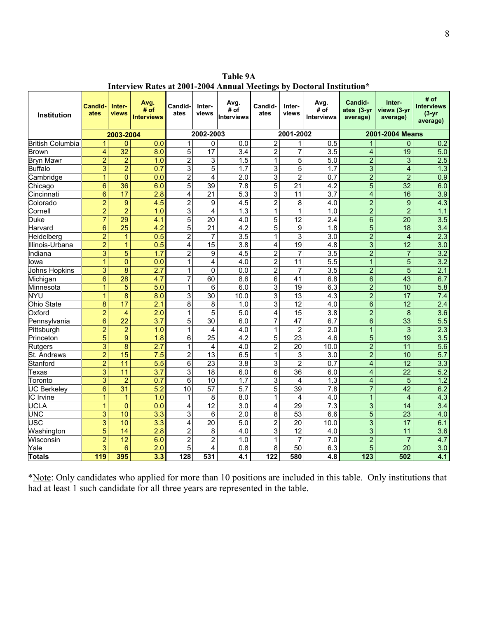**Table 9A Interview Rates at 2001-2004 Annual Meetings by Doctoral Institution\***

| <b>Institution</b>      | <b>Candid-</b><br>ates | Inter-<br>views | Avg.<br># of<br><b>Interviews</b> | Candid<br>ates          | Inter-<br>views | Avg.<br># of<br><b>Interviews</b> | Candid-<br>ates  | Inter-<br>views         | Avg.<br># of<br><b>Interviews</b> | Candid-<br>ates (3-yr<br>average) | Inter-<br>views (3-yr<br>average) | # of<br><b>Interviews</b><br>$(3-yr)$<br>average) |
|-------------------------|------------------------|-----------------|-----------------------------------|-------------------------|-----------------|-----------------------------------|------------------|-------------------------|-----------------------------------|-----------------------------------|-----------------------------------|---------------------------------------------------|
|                         |                        | 2003-2004       |                                   |                         | 2002-2003       |                                   | 2001-2002        |                         |                                   | 2001-2004 Means                   |                                   |                                                   |
| <b>British Columbia</b> | $\overline{1}$         | $\overline{0}$  | 0.0                               | $\mathbf{1}$            | 0               | 0.0                               | $\overline{2}$   | 1                       | 0.5                               |                                   | $\overline{0}$                    | 0.2                                               |
| Brown                   | 4                      | $\overline{32}$ | $\overline{8.0}$                  | $\overline{5}$          | $\overline{17}$ | 3.4                               | $\overline{2}$   | 7                       | $\overline{3.5}$                  | 4                                 | $\overline{19}$                   | 5.0                                               |
| Bryn Mawr               | $\overline{2}$         | $\overline{2}$  | 1.0                               | $\overline{2}$          | 3               | 1.5                               | $\mathbf{1}$     | 5                       | 5.0                               | $\overline{2}$                    | $\overline{3}$                    | 2.5                                               |
| <b>Buffalo</b>          | 3                      | $\overline{2}$  | 0.7                               | 3                       | $\overline{5}$  | 1.7                               | 3                | 5                       | 1.7                               | 3                                 | $\overline{4}$                    | 1.3                                               |
| Cambridge               | $\overline{1}$         | $\overline{0}$  | 0.0                               | $\overline{\mathbf{c}}$ | 4               | $\overline{2.0}$                  | 3                | $\overline{2}$          | 0.7                               | $\overline{2}$                    | $\overline{2}$                    | 0.9                                               |
| Chicago                 | $6\phantom{1}6$        | $\overline{36}$ | 6.0                               | $\overline{5}$          | 39              | $\overline{7.8}$                  | $\overline{5}$   | $\overline{21}$         | $\overline{4.2}$                  | $\overline{5}$                    | $\overline{32}$                   | 6.0                                               |
| Cincinnati              | $\overline{6}$         | $\overline{17}$ | 2.8                               | $\overline{4}$          | $\overline{21}$ | 5.3                               | 3                | $\overline{11}$         | $\overline{3.7}$                  | 4                                 | 16                                | 3.9                                               |
| Colorado                | $\overline{2}$         | $\overline{9}$  | 4.5                               | $\overline{2}$          | $\overline{9}$  | 4.5                               | $\overline{2}$   | $\overline{8}$          | 4.0                               | $\overline{2}$                    | $\overline{9}$                    | 4.3                                               |
| Cornell                 | $\overline{2}$         | $\overline{2}$  | 1.0                               | 3                       | 4               | $\overline{1.3}$                  | 1                | $\mathbf{1}$            | 1.0                               | $\overline{2}$                    | $\overline{2}$                    | 1.1                                               |
| <b>Duke</b>             | $\overline{7}$         | 29              | $\overline{4.1}$                  | 5                       | $\overline{20}$ | 4.0                               | 5                | $\overline{12}$         | 2.4                               | $\overline{6}$                    | $\overline{20}$                   | 3.5                                               |
| Harvard                 | $6\phantom{1}6$        | $\overline{25}$ | 4.2                               | 5                       | $\overline{21}$ | $\overline{4.2}$                  | 5                | 9                       | 1.8                               | 5                                 | $\overline{18}$                   | 3.4                                               |
| Heidelberg              | $\overline{2}$         | $\mathbf{1}$    | 0.5                               | $\overline{2}$          | 7               | $\overline{3.5}$                  | 1                | 3                       | $\overline{3.0}$                  | $\overline{2}$                    | $\overline{4}$                    | 2.3                                               |
| Illinois-Urbana         | $\overline{2}$         | $\mathbf{1}$    | 0.5                               | 4                       | $\overline{15}$ | 3.8                               | 4                | $\overline{19}$         | 4.8                               | 3                                 | $\overline{12}$                   | 3.0                                               |
| Indiana                 | $\overline{3}$         | $\overline{5}$  | 1.7                               | $\overline{2}$          | $\overline{9}$  | 4.5                               | $\overline{2}$   | $\overline{7}$          | 3.5                               | $\overline{2}$                    | $\overline{7}$                    | 3.2                                               |
| Iowa                    | $\mathbf{1}$           | $\overline{0}$  | 0.0                               | $\mathbf 1$             | 4               | 4.0                               | $\overline{2}$   | $\overline{11}$         | 5.5                               | $\mathbf{1}$                      | 5                                 | 3.2                                               |
| <b>Johns Hopkins</b>    | $\overline{3}$         | $\overline{8}$  | 2.7                               | $\mathbf 1$             | 0               | 0.0                               | $\overline{2}$   | $\overline{7}$          | 3.5                               | $\overline{2}$                    | 5                                 | 2.1                                               |
| Michigan                | $\overline{6}$         | $\overline{28}$ | 4.7                               | 7                       | 60              | 8.6                               | $\overline{6}$   | 41                      | 6.8                               | $\overline{6}$                    | 43                                | 6.7                                               |
| Minnesota               | $\mathbf{1}$           | $\overline{5}$  | 5.0                               | $\mathbf 1$             | 6               | 6.0                               | 3                | 19                      | 6.3                               | $\overline{2}$                    | 10                                | 5.8                                               |
| NYU                     | $\overline{1}$         | 8               | 8.0                               | 3                       | $\overline{30}$ | 10.0                              | 3                | $\overline{13}$         | $\overline{4.3}$                  | $\overline{2}$                    | $\overline{17}$                   | 7.4                                               |
| <b>Ohio State</b>       | 8                      | 17              | 2.1                               | 8                       | 8               | 1.0                               | 3                | 12                      | 4.0                               | 6                                 | $\overline{12}$                   | 2.4                                               |
| Oxford                  | $\overline{2}$         | $\overline{4}$  | 2.0                               | $\overline{1}$          | 5               | 5.0                               | $\overline{4}$   | $\overline{15}$         | 3.8                               | $\overline{2}$                    | $\overline{8}$                    | 3.6                                               |
| Pennsylvania            | $\overline{6}$         | $\overline{22}$ | $\overline{3.7}$                  | $\overline{5}$          | 30              | 6.0                               | 7                | 47                      | 6.7                               | $\overline{6}$                    | $\overline{33}$                   | 5.5                                               |
| Pittsburgh              | $\overline{2}$         | $\overline{2}$  | 1.0                               | $\overline{1}$          | 4               | 4.0                               | 1                | $\overline{2}$          | $\overline{2.0}$                  | 1                                 | $\overline{3}$                    | 2.3                                               |
| Princeton               | $\overline{5}$         | $\overline{9}$  | 1.8                               | $\overline{6}$          | $\overline{25}$ | $\overline{4.2}$                  | 5                | $\overline{23}$         | 4.6                               | 5                                 | 19                                | 3.5                                               |
| Rutgers                 | $\overline{3}$         | $\overline{8}$  | 2.7                               | $\mathbf{1}$            | 4               | 4.0                               | $\overline{2}$   | $\overline{20}$         | 10.0                              | $\overline{2}$                    | 11                                | 5.6                                               |
| St. Andrews             | $\overline{2}$         | 15              | 7.5                               | $\overline{\mathbf{c}}$ | $\overline{13}$ | 6.5                               | 1                | 3                       | 3.0                               | $\overline{2}$                    | 10                                | 5.7                                               |
| Stanford                | $\overline{2}$         | $\overline{11}$ | $\overline{5.5}$                  | 6                       | $\overline{23}$ | $\overline{3.8}$                  | 3                | $\overline{2}$          | 0.7                               | 4                                 | $\overline{12}$                   | 3.3                                               |
| Texas                   | $\overline{3}$         | 11              | $\overline{3.7}$                  | 3                       | $\overline{18}$ | 6.0                               | $\overline{6}$   | $\overline{36}$         | 6.0                               | 4                                 | $\overline{22}$                   | 5.2                                               |
| Toronto                 | $\overline{3}$         | $\overline{2}$  | 0.7                               | $\overline{6}$          | $\overline{10}$ | $\overline{1.7}$                  | 3                | 4                       | $\overline{1.3}$                  | $\overline{\mathbf{4}}$           | 5                                 | 1.2                                               |
| <b>UC</b> Berkeley      | $6\phantom{1}6$        | 31              | 5.2                               | 10                      | 57              | 5.7                               | $\overline{5}$   | 39                      | 7.8                               | 7                                 | 42                                | 6.2                                               |
| IC Irvine               | $\overline{1}$         | $\mathbf{1}$    | 1.0                               | $\mathbf{1}$            | 8               | 8.0                               | 1                | $\overline{\mathbf{4}}$ | 4.0                               | $\mathbf{1}$                      | $\overline{4}$                    | 4.3                                               |
| UCLA                    | $\overline{1}$         | $\Omega$        | 0.0                               | $\overline{4}$          | $\overline{12}$ | $\overline{3.0}$                  | 4                | 29                      | 7.3                               | $\overline{3}$                    | $\overline{14}$                   | 3.4                                               |
| UNC                     | 3                      | 10              | $\overline{3.3}$                  | 3                       | 6               | $\overline{2.0}$                  | $\overline{8}$   | $\overline{53}$         | 6.6                               | 5                                 | $\overline{23}$                   | 4.0                                               |
| USC                     | 3                      | 10              | $\overline{3.3}$                  | 4                       | $\overline{20}$ | 5.0                               | $\overline{2}$   | 20                      | 10.0                              | $\overline{3}$                    | 17                                | 6.1                                               |
| Washington              | 5                      | $\overline{14}$ | $\overline{2.8}$                  | $\overline{2}$          | 8               | 4.0                               | 3                | $\overline{12}$         | 4.0                               | $\overline{3}$                    | 11                                | 3.6                                               |
| Wisconsin               | $\overline{2}$         | $\overline{12}$ | 6.0                               | $\overline{2}$          | $\overline{2}$  | 1.0                               | 1                | $\overline{7}$          | 7.0                               | $\overline{2}$                    | $\overline{7}$                    | 4.7                                               |
| Yale                    | 3                      | 6               | 2.0                               | 5                       | 4               | 0.8                               | 8                | 50                      | 6.3                               | 5                                 | $\overline{20}$                   | 3.0                                               |
| <b>Totals</b>           | 119                    | 395             | $\overline{3.3}$                  | 128                     | 531             | 4.1                               | $\overline{122}$ | 580                     | 4.8                               | 123                               | 502                               | 4.1                                               |

\*Note: Only candidates who applied for more than 10 positions are included in this table. Only institutions that had at least 1 such candidate for all three years are represented in the table.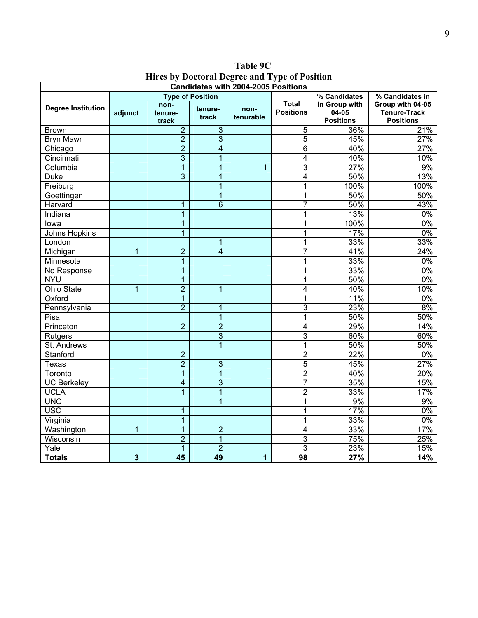|                           | <b>Candidates with 2004-2005 Positions</b> |                          |                         |                   |                                  |                                            |                                                             |  |  |  |  |  |  |
|---------------------------|--------------------------------------------|--------------------------|-------------------------|-------------------|----------------------------------|--------------------------------------------|-------------------------------------------------------------|--|--|--|--|--|--|
|                           |                                            |                          | <b>Type of Position</b> |                   |                                  | % Candidates                               | % Candidates in                                             |  |  |  |  |  |  |
| <b>Degree Institution</b> | adjunct                                    | non-<br>tenure-<br>track | tenure-<br>track        | non-<br>tenurable | <b>Total</b><br><b>Positions</b> | in Group with<br>04-05<br><b>Positions</b> | Group with 04-05<br><b>Tenure-Track</b><br><b>Positions</b> |  |  |  |  |  |  |
| <b>Brown</b>              |                                            | $\overline{2}$           | 3                       |                   | 5                                | 36%                                        | 21%                                                         |  |  |  |  |  |  |
| <b>Bryn Mawr</b>          |                                            | $\overline{2}$           | $\overline{3}$          |                   | $\overline{5}$                   | 45%                                        | 27%                                                         |  |  |  |  |  |  |
| Chicago                   |                                            | $\overline{2}$           | $\overline{\mathbf{4}}$ |                   | 6                                | 40%                                        | 27%                                                         |  |  |  |  |  |  |
| Cincinnati                |                                            | $\overline{3}$           | $\overline{1}$          |                   | $\overline{\mathbf{4}}$          | 40%                                        | 10%                                                         |  |  |  |  |  |  |
| Columbia                  |                                            | $\overline{1}$           | $\overline{1}$          | 1                 | 3                                | 27%                                        | 9%                                                          |  |  |  |  |  |  |
| <b>Duke</b>               |                                            | $\overline{3}$           | 1                       |                   | $\overline{\mathbf{4}}$          | 50%                                        | 13%                                                         |  |  |  |  |  |  |
| Freiburg                  |                                            |                          | $\overline{1}$          |                   | 1                                | 100%                                       | 100%                                                        |  |  |  |  |  |  |
| Goettingen                |                                            |                          | $\overline{1}$          |                   | 1                                | 50%                                        | 50%                                                         |  |  |  |  |  |  |
| Harvard                   |                                            | 1                        | 6                       |                   | $\overline{7}$                   | 50%                                        | 43%                                                         |  |  |  |  |  |  |
| Indiana                   |                                            | 1                        |                         |                   | 1                                | 13%                                        | $0\%$                                                       |  |  |  |  |  |  |
| lowa                      |                                            | $\overline{1}$           |                         |                   | $\mathbf{1}$                     | 100%                                       | $0\%$                                                       |  |  |  |  |  |  |
| Johns Hopkins             |                                            | $\overline{1}$           |                         |                   | 1                                | 17%                                        | $0\%$                                                       |  |  |  |  |  |  |
| London                    |                                            |                          | 1                       |                   | 1                                | 33%                                        | 33%                                                         |  |  |  |  |  |  |
| Michigan                  | $\overline{1}$                             | $\overline{2}$           | $\overline{\mathbf{4}}$ |                   | $\overline{7}$                   | 41%                                        | 24%                                                         |  |  |  |  |  |  |
| Minnesota                 |                                            | 1                        |                         |                   | $\overline{1}$                   | 33%                                        | $0\%$                                                       |  |  |  |  |  |  |
| No Response               |                                            | 1                        |                         |                   | 1                                | 33%                                        | $\overline{0\%}$                                            |  |  |  |  |  |  |
| <b>NYU</b>                |                                            | 1                        |                         |                   | 1                                | 50%                                        | $0\%$                                                       |  |  |  |  |  |  |
| <b>Ohio State</b>         | $\overline{1}$                             | $\overline{2}$           | $\overline{1}$          |                   | $\overline{\mathbf{4}}$          | 40%                                        | 10%                                                         |  |  |  |  |  |  |
| Oxford                    |                                            | $\overline{1}$           |                         |                   | 1                                | 11%                                        | $0\%$                                                       |  |  |  |  |  |  |
| Pennsylvania              |                                            | $\overline{2}$           | 1                       |                   | 3                                | 23%                                        | 8%                                                          |  |  |  |  |  |  |
| Pisa                      |                                            |                          | $\overline{1}$          |                   | $\mathbf{1}$                     | 50%                                        | 50%                                                         |  |  |  |  |  |  |
| Princeton                 |                                            | $\overline{2}$           | $\overline{2}$          |                   | $\overline{\mathbf{4}}$          | 29%                                        | 14%                                                         |  |  |  |  |  |  |
| <b>Rutgers</b>            |                                            |                          | $\overline{3}$          |                   | $\overline{3}$                   | 60%                                        | 60%                                                         |  |  |  |  |  |  |
| St. Andrews               |                                            |                          | $\overline{1}$          |                   | 1                                | 50%                                        | 50%                                                         |  |  |  |  |  |  |
| Stanford                  |                                            | $\overline{2}$           |                         |                   | $\overline{2}$                   | 22%                                        | $0\%$                                                       |  |  |  |  |  |  |
| Texas                     |                                            | $\overline{2}$           | 3                       |                   | 5                                | 45%                                        | 27%                                                         |  |  |  |  |  |  |
| Toronto                   |                                            | 1                        | 1                       |                   | $\overline{2}$                   | 40%                                        | 20%                                                         |  |  |  |  |  |  |
| <b>UC Berkeley</b>        |                                            | $\overline{4}$           | 3                       |                   | $\overline{7}$                   | 35%                                        | 15%                                                         |  |  |  |  |  |  |
| <b>UCLA</b>               |                                            | $\overline{1}$           | $\overline{1}$          |                   | $\overline{2}$                   | 33%                                        | 17%                                                         |  |  |  |  |  |  |
| <b>UNC</b>                |                                            |                          | $\overline{1}$          |                   | $\overline{1}$                   | 9%                                         | 9%                                                          |  |  |  |  |  |  |
| <b>USC</b>                |                                            | $\overline{1}$           |                         |                   | $\mathbf{1}$                     | 17%                                        | $0\%$                                                       |  |  |  |  |  |  |
| Virginia                  |                                            | 1                        |                         |                   | $\overline{1}$                   | 33%                                        | $0\%$                                                       |  |  |  |  |  |  |
| Washington                | $\overline{1}$                             | 1                        | $\overline{2}$          |                   | $\overline{\mathbf{4}}$          | 33%                                        | 17%                                                         |  |  |  |  |  |  |
| Wisconsin                 |                                            | $\overline{2}$           | 1                       |                   | 3                                | 75%                                        | 25%                                                         |  |  |  |  |  |  |
| Yale                      |                                            | $\overline{1}$           | $\overline{2}$          |                   | $\overline{3}$                   | 23%                                        | 15%                                                         |  |  |  |  |  |  |
| <b>Totals</b>             | 3                                          | $\overline{45}$          | 49                      | 1                 | 98                               | 27%                                        | 14%                                                         |  |  |  |  |  |  |

**Table 9C Hires by Doctoral Degree and Type of Position**

 $\mathbf{r}$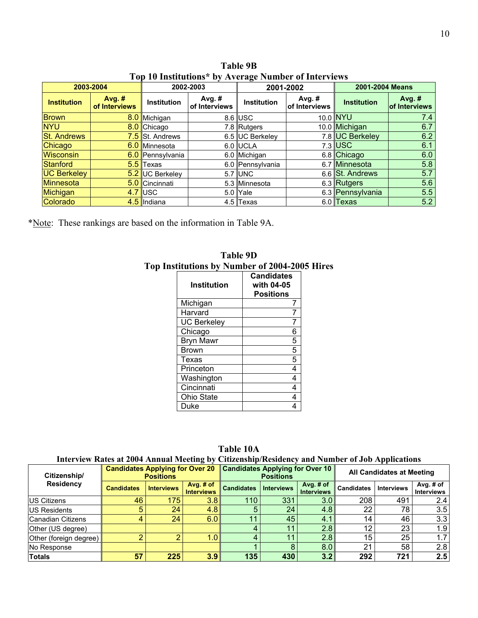|                    |                           |                    | Top To Histitutions" by Average Number of Interviews |                  |                           |                    |                                  |
|--------------------|---------------------------|--------------------|------------------------------------------------------|------------------|---------------------------|--------------------|----------------------------------|
|                    | 2003-2004                 |                    | 2002-2003                                            |                  | 2001-2002                 | 2001-2004 Means    |                                  |
| <b>Institution</b> | Avg. $#$<br>of Interviews | <b>Institution</b> | Avg. $#$<br>of Interviews                            | Institution      | Avg. $#$<br>of Interviews | <b>Institution</b> | Avg. $#$<br><b>of Interviews</b> |
| <b>Brown</b>       |                           | 8.0 Michigan       |                                                      | 8.6 USC          |                           | 10.0 NYU           | 7.4                              |
| <b>NYU</b>         |                           | 8.0 Chicago        |                                                      | 7.8 Rutgers      |                           | 10.0 Michigan      | 6.7                              |
| <b>St. Andrews</b> |                           | 7.5 St. Andrews    |                                                      | 6.5 UC Berkeley  |                           | 7.8 UC Berkeley    | 6.2                              |
| Chicago            |                           | 6.0 Minnesota      |                                                      | 6.0 IUCLA        |                           | $7.3$ USC          | 6.1                              |
| <b>Wisconsin</b>   |                           | 6.0 Pennsylvania   |                                                      | 6.0 Michigan     |                           | 6.8 Chicago        | 6.0                              |
| Stanford           |                           | $5.5$ Texas        |                                                      | 6.0 Pennsylvania |                           | 6.7 Minnesota      | 5.8                              |
| <b>UC Berkeley</b> |                           | 5.2 UC Berkeley    |                                                      | $5.7$ UNC        |                           | 6.6 St. Andrews    | 5.7                              |
| <b>Minnesota</b>   |                           | 5.0 Cincinnati     |                                                      | 5.3 Minnesota    |                           | 6.3 Rutgers        | 5.6                              |
| Michigan           |                           | $4.7$ USC          |                                                      | 5.0 IYale        |                           | 6.3 Pennsylvania   | 5.5                              |
| Colorado           |                           | 4.5 Indiana        |                                                      | 4.5 Texas        |                           | 6.0 Texas          | 5.2                              |

**Table 9B Top 10 Institutions\* by Average Number of Interviews**

\*Note: These rankings are based on the information in Table 9A.

| <b>Institution</b> | <b>Candidates</b><br>with 04-05<br><b>Positions</b> |
|--------------------|-----------------------------------------------------|
| Michigan           | 7                                                   |
| Harvard            | 7                                                   |
| <b>UC Berkeley</b> | 7                                                   |
| Chicago            | 6                                                   |
| <b>Bryn Mawr</b>   | 5                                                   |
| Brown              | 5                                                   |
| Texas              | 5                                                   |
| Princeton          | 4                                                   |
| Washington         | 4                                                   |
| Cincinnati         | 4                                                   |
| <b>Ohio State</b>  | 4                                                   |
| Duke               |                                                     |

**Table 9D Top Institutions by Number of 2004-2005 Hires** 

**Table 10A Interview Rates at 2004 Annual Meeting by Citizenship/Residency and Number of Job Applications** 

| Citizenship/             | <b>Candidates Applying for Over 20</b> | <b>Positions</b>  |                                  | <b>Candidates Applying for Over 10</b> | <b>Positions</b>  |                                  | <b>All Candidates at Meeting</b> |                   |                                  |  |
|--------------------------|----------------------------------------|-------------------|----------------------------------|----------------------------------------|-------------------|----------------------------------|----------------------------------|-------------------|----------------------------------|--|
| <b>Residency</b>         | <b>Candidates</b>                      | <b>Interviews</b> | Avg. $# of$<br><b>Interviews</b> | <b>Candidates</b>                      | <b>Interviews</b> | Avg. $#$ of<br><b>Interviews</b> | <b>Candidates</b>                | <b>Interviews</b> | Avg. $#$ of<br><b>Interviews</b> |  |
| <b>US Citizens</b>       | 46                                     | 175               | 3.8                              | 110                                    | 331               | 3.0                              | 208                              | 491               | 2.4                              |  |
| IUS Residents            | 5                                      | 24                | 4.8                              | 5                                      | 24                | 4.8                              | 22                               | 78                | 3.5                              |  |
| <b>Canadian Citizens</b> |                                        | 24                | 6.0                              | 11                                     | 45                | 4.1                              | 14                               | 46                | 3.3                              |  |
| Other (US degree)        |                                        |                   |                                  |                                        |                   | 2.8                              | 12                               | 23                | 1.9                              |  |
| Other (foreign degree)   |                                        |                   | 1.0 <sub>h</sub>                 |                                        |                   | 2.8                              | 15                               | 25                | 1.7                              |  |
| No Response              |                                        |                   |                                  |                                        |                   | 8.0                              | 21                               | 58                | 2.8                              |  |
| <b>Totals</b>            | 57                                     | 225               | 3.9                              | 135                                    | 430               | 3.2                              | 292                              | 721               | $2.5\,$                          |  |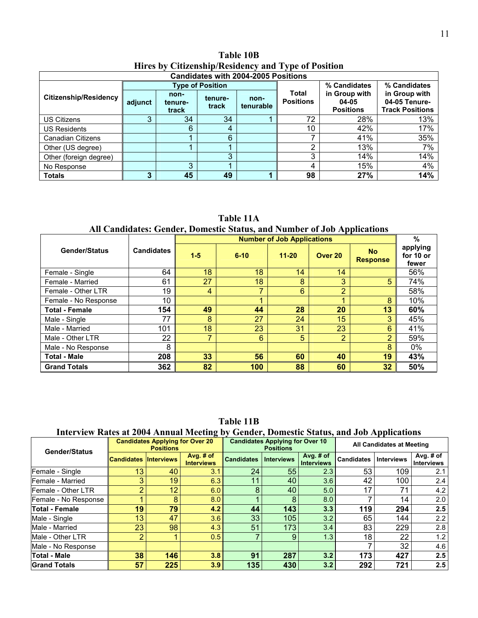| <b>Candidates with 2004-2005 Positions</b> |         |                          |                         |                   |                           |                                            |                                                          |  |  |  |  |  |
|--------------------------------------------|---------|--------------------------|-------------------------|-------------------|---------------------------|--------------------------------------------|----------------------------------------------------------|--|--|--|--|--|
|                                            |         |                          | <b>Type of Position</b> |                   |                           | % Candidates                               | % Candidates                                             |  |  |  |  |  |
| <b>Citizenship/Residency</b>               | adjunct | non-<br>tenure-<br>track | tenure-<br>track        | non-<br>tenurable | Total<br><b>Positions</b> | in Group with<br>04-05<br><b>Positions</b> | in Group with<br>04-05 Tenure-<br><b>Track Positions</b> |  |  |  |  |  |
| <b>US Citizens</b>                         | 3       | 34                       | 34                      |                   | 72                        | 28%                                        | 13%                                                      |  |  |  |  |  |
| <b>US Residents</b>                        |         | 6                        | 4                       |                   | 10                        | 42%                                        | 17%                                                      |  |  |  |  |  |
| <b>Canadian Citizens</b>                   |         |                          | 6                       |                   |                           | 41%                                        | 35%                                                      |  |  |  |  |  |
| Other (US degree)                          |         |                          |                         |                   | ◠                         | 13%                                        | 7%                                                       |  |  |  |  |  |
| Other (foreign degree)                     |         |                          | 3                       |                   | ົ                         | 14%                                        | 14%                                                      |  |  |  |  |  |
| No Response                                |         | 3                        |                         |                   | 4                         | 15%                                        | 4%                                                       |  |  |  |  |  |
| <b>Totals</b>                              | 3       | 45                       | 49                      |                   | 98                        | 27%                                        | 14%                                                      |  |  |  |  |  |

**Table 10B Hires by Citizenship/Residency and Type of Position** 

**Table 11A All Candidates: Gender, Domestic Status, and Number of Job Applications** 

|                       |                   |         |          | <b>Number of Job Applications</b> |                    |                              | %                              |
|-----------------------|-------------------|---------|----------|-----------------------------------|--------------------|------------------------------|--------------------------------|
| <b>Gender/Status</b>  | <b>Candidates</b> | $1 - 5$ | $6 - 10$ | $11 - 20$                         | Over <sub>20</sub> | <b>No</b><br><b>Response</b> | applying<br>for 10 or<br>fewer |
| Female - Single       | 64                | 18      | 18       | 14                                | 14                 |                              | 56%                            |
| Female - Married      | 61                | 27      | 18       | 8                                 | 3                  | $5\overline{)}$              | 74%                            |
| Female - Other LTR    | 19                | 4       | ⇁        | 6                                 | $\overline{2}$     |                              | 58%                            |
| Female - No Response  | 10                |         | л        |                                   | л                  | 8                            | 10%                            |
| <b>Total - Female</b> | 154               | 49      | 44       | 28                                | 20                 | 13                           | 60%                            |
| Male - Single         | 77                | 8       | 27       | 24                                | 15                 | 3                            | 45%                            |
| Male - Married        | 101               | 18      | 23       | 31                                | 23                 | 6                            | 41%                            |
| Male - Other LTR      | 22                | 7       | 6        | 5                                 | $\overline{2}$     | $\overline{2}$               | 59%                            |
| Male - No Response    | 8                 |         |          |                                   |                    | 8                            | $0\%$                          |
| <b>Total - Male</b>   | 208               | 33      | 56       | 60                                | 40                 | 19                           | 43%                            |
| <b>Grand Totals</b>   | 362               | 82      | 100      | 88                                | 60                 | 32                           | 50%                            |

**Table 11B** 

## **Interview Rates at 2004 Annual Meeting by Gender, Domestic Status, and Job Applications**

| <b>Gender/Status</b> |                              | <b>Candidates Applying for Over 20</b><br><b>Positions</b> |                                |                   | <b>Candidates Applying for Over 10</b><br><b>Positions</b> |                                  | <b>All Candidates at Meeting</b> |                   |                                  |  |
|----------------------|------------------------------|------------------------------------------------------------|--------------------------------|-------------------|------------------------------------------------------------|----------------------------------|----------------------------------|-------------------|----------------------------------|--|
|                      | <b>Candidates Interviews</b> |                                                            | Avg. # of<br><b>Interviews</b> | <b>Candidates</b> | <b>Interviews</b>                                          | Avg. $#$ of<br><b>Interviews</b> | <b>Candidates</b>                | <b>Interviews</b> | Avg. # $of$<br><b>Interviews</b> |  |
| Female - Single      | 13                           | 40                                                         | 3.1                            | 24                | 55                                                         | 2.3                              | 53                               | 109               | 2.1                              |  |
| Female - Married     | 3                            | 19                                                         | 6.3                            | 11                | 40                                                         | 3.6                              | 42                               | 100               | 2.4                              |  |
| Female - Other LTR   |                              | 12                                                         | 6.0                            | 8                 | 40                                                         | 5.0                              | 17                               | 71                | 4.2                              |  |
| Female - No Response |                              | 8                                                          | 8.0                            |                   | 8                                                          | 8.0                              |                                  | 14                | 2.0                              |  |
| Total - Female       | 19                           | 79                                                         | 4.2                            | 44                | 143                                                        | 3.3                              | 119                              | 294               | 2.5                              |  |
| Male - Single        | 13                           | 47                                                         | 3.6                            | 33                | 105                                                        | 3.2                              | 65                               | 144               | 2.2                              |  |
| Male - Married       | 23                           | 98                                                         | 4.3                            | 51                | 173                                                        | 3.4                              | 83                               | 229               | 2.8                              |  |
| Male - Other LTR     | റ                            |                                                            | 0.5                            |                   | 9                                                          | 1.3                              | 18                               | 22                | 1.2                              |  |
| Male - No Response   |                              |                                                            |                                |                   |                                                            |                                  |                                  | 32                | 4.6                              |  |
| <b>Total - Male</b>  | 38                           | 146                                                        | 3.8                            | 91                | 287                                                        | 3.2                              | 173                              | 427               | 2.5                              |  |
| <b>Grand Totals</b>  | 57                           | 225                                                        | 3.9                            | 135               | 430                                                        | 3.2                              | 292                              | 721               | 2.5                              |  |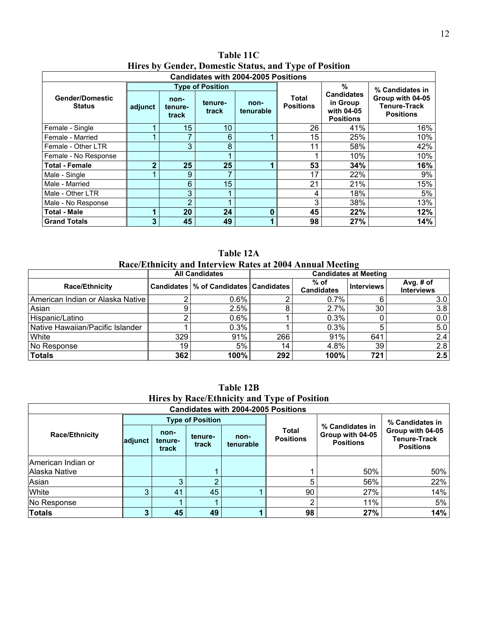| <b>Candidates with 2004-2005 Positions</b> |         |                          |                         |                   |    |                                                                 |                                                             |  |  |  |  |
|--------------------------------------------|---------|--------------------------|-------------------------|-------------------|----|-----------------------------------------------------------------|-------------------------------------------------------------|--|--|--|--|
|                                            |         |                          | <b>Type of Position</b> |                   |    | $\%$                                                            | % Candidates in                                             |  |  |  |  |
| <b>Gender/Domestic</b><br><b>Status</b>    | adjunct | non-<br>tenure-<br>track | tenure-<br>track        | non-<br>tenurable |    | <b>Candidates</b><br>in Group<br>with 04-05<br><b>Positions</b> | Group with 04-05<br><b>Tenure-Track</b><br><b>Positions</b> |  |  |  |  |
| Female - Single                            |         | 15                       | 10                      |                   | 26 | 41%                                                             | 16%                                                         |  |  |  |  |
| Female - Married                           |         | ⇁                        | 6                       |                   | 15 | 25%                                                             | 10%                                                         |  |  |  |  |
| Female - Other LTR                         |         | 3                        | 8                       |                   | 11 | 58%                                                             | 42%                                                         |  |  |  |  |
| Female - No Response                       |         |                          |                         |                   |    | 10%                                                             | 10%                                                         |  |  |  |  |
| <b>Total - Female</b>                      | 2       | 25                       | 25                      |                   | 53 | 34%                                                             | 16%                                                         |  |  |  |  |
| Male - Single                              |         | 9                        | ⇁                       |                   | 17 | 22%                                                             | 9%                                                          |  |  |  |  |
| Male - Married                             |         | $6\phantom{1}$           | 15                      |                   | 21 | 21%                                                             | 15%                                                         |  |  |  |  |
| Male - Other LTR                           |         | 3                        |                         |                   | 4  | 18%                                                             | 5%                                                          |  |  |  |  |
| Male - No Response                         |         | 2                        |                         |                   | 3  | 38%                                                             | 13%                                                         |  |  |  |  |
| <b>Total - Male</b>                        |         | 20                       | 24                      | 0                 | 45 | 22%                                                             | 12%                                                         |  |  |  |  |
| <b>Grand Totals</b>                        | 3       | 45                       | 49                      |                   | 98 | 27%                                                             | 14%                                                         |  |  |  |  |

**Table 11C Hires by Gender, Domestic Status, and Type of Position** 

**Table 12A Race/Ethnicity and Interview Rates at 2004 Annual Meeting** 

|                                  |     | <b>All Candidates</b>                      | <b>Candidates at Meeting</b> |                             |                   |                                |  |  |
|----------------------------------|-----|--------------------------------------------|------------------------------|-----------------------------|-------------------|--------------------------------|--|--|
| <b>Race/Ethnicity</b>            |     | Candidates   % of Candidates    Candidates |                              | $%$ of<br><b>Candidates</b> | <b>Interviews</b> | Avg. # of<br><b>Interviews</b> |  |  |
| American Indian or Alaska Native |     | $0.6\%$                                    |                              | $0.7\%$                     |                   | 3.0                            |  |  |
| Asian                            |     | 2.5%                                       |                              | $2.7\%$                     | 30                | 3.8                            |  |  |
| Hispanic/Latino                  |     | $0.6\%$                                    |                              | 0.3%                        |                   | 0.0                            |  |  |
| Native Hawaiian/Pacific Islander |     | 0.3%                                       |                              | 0.3%                        |                   | 5.0                            |  |  |
| White                            | 329 | 91%                                        | 266                          | 91%                         | 641               | 2.4                            |  |  |
| No Response                      | 19  | 5%                                         | 14                           | 4.8%                        | 39                | 2.8                            |  |  |
| <b>Totals</b>                    | 362 | 100%                                       | 292                          | 100%                        | 721               | 2.5                            |  |  |

**Table 12B Hires by Race/Ethnicity and Type of Position** 

| <b>Candidates with 2004-2005 Positions</b> |          |                          |                         |                   |                           |                                                         |                                                                                |  |  |  |  |  |
|--------------------------------------------|----------|--------------------------|-------------------------|-------------------|---------------------------|---------------------------------------------------------|--------------------------------------------------------------------------------|--|--|--|--|--|
|                                            |          |                          | <b>Type of Position</b> |                   |                           |                                                         | % Candidates in<br>Group with 04-05<br><b>Tenure-Track</b><br><b>Positions</b> |  |  |  |  |  |
| <b>Race/Ethnicity</b>                      | ladjunct | non-<br>tenure-<br>track | tenure-<br>track        | non-<br>tenurable | Total<br><b>Positions</b> | % Candidates in<br>Group with 04-05<br><b>Positions</b> |                                                                                |  |  |  |  |  |
| IAmerican Indian or                        |          |                          |                         |                   |                           |                                                         |                                                                                |  |  |  |  |  |
| Alaska Native                              |          |                          |                         |                   |                           | 50%                                                     | 50%                                                                            |  |  |  |  |  |
| Asian                                      |          | ◠                        |                         |                   | 5                         | 56%                                                     | 22%                                                                            |  |  |  |  |  |
| <b>White</b>                               | 3        | 41                       | 45                      |                   | 90                        | 27%                                                     | 14%                                                                            |  |  |  |  |  |
| No Response                                |          |                          |                         |                   | 2                         | 11%                                                     | 5%                                                                             |  |  |  |  |  |
| <b>Totals</b>                              | 3        | 45                       | 49                      |                   | 98                        | 27%                                                     | 14%                                                                            |  |  |  |  |  |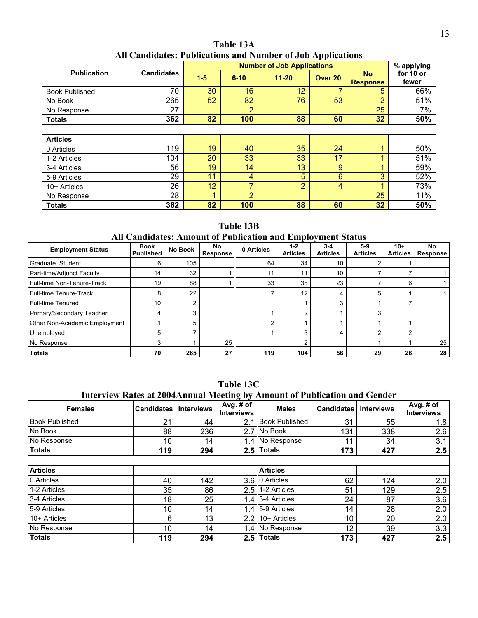| Table 13A                                                   |
|-------------------------------------------------------------|
| All Candidates: Publications and Number of Job Applications |

|                       | <b>Candidates</b> |       |                | <b>Number of Job Applications</b> |         |                              | % applying         |
|-----------------------|-------------------|-------|----------------|-----------------------------------|---------|------------------------------|--------------------|
| <b>Publication</b>    |                   | $1-5$ | $6 - 10$       | $11 - 20$                         | Over 20 | <b>No</b><br><b>Response</b> | for 10 or<br>fewer |
| <b>Book Published</b> | 70                | 30    | 16             | 12                                | 7       | 5                            | 66%                |
| No Book               | 265               | 52    | 82             | 76                                | 53      | $\overline{2}$               | 51%                |
| No Response           | 27                |       | 2              |                                   |         | 25                           | 7%                 |
| <b>Totals</b>         | 362               | 82    | 100            | 88                                | 60      | 32                           | 50%                |
|                       |                   |       |                |                                   |         |                              |                    |
| <b>Articles</b>       |                   |       |                |                                   |         |                              |                    |
| 0 Articles            | 119               | 19    | 40             | 35                                | 24      |                              | 50%                |
| 1-2 Articles          | 104               | 20    | 33             | 33                                | 17      |                              | 51%                |
| 3-4 Articles          | 56                | 19    | 14             | 13                                | 9       |                              | 59%                |
| 5-9 Articles          | 29                | 11    | 4              | 5                                 | 6       | 3                            | 52%                |
| 10+ Articles          | 26                | 12    | ⇁              | $\overline{2}$                    | 4       | и                            | 73%                |
| No Response           | 28                |       | $\overline{2}$ |                                   |         | 25                           | 11%                |
| <b>Totals</b>         | 362               | 82    | 100            | 88                                | 60      | 32                           | 50%                |

**Table 13B All Candidates: Amount of Publication and Employment Status** 

| <b>Employment Status</b>      | <b>Book</b><br><b>Published</b> | <b>No Book</b> | No<br>Response | 0 Articles | $1 - 2$<br><b>Articles</b> | $3 - 4$<br><b>Articles</b> | $5-9$<br><b>Articles</b> | $10+$<br><b>Articles</b> | No<br>Response |
|-------------------------------|---------------------------------|----------------|----------------|------------|----------------------------|----------------------------|--------------------------|--------------------------|----------------|
| Graduate Student              | 6                               | 105            |                | 64         | 34                         | 10                         |                          |                          |                |
| Part-time/Adjunct Faculty     | 14                              | 32             |                | 11         | 11                         | 10                         |                          |                          |                |
| Full-time Non-Tenure-Track    | 19                              | 88             |                | 33         | 38                         | 23                         |                          | 6                        |                |
| Full-time Tenure-Track        | 8                               | 22             |                |            | $12 \overline{ }$          | 4                          | 5                        |                          |                |
| Full-time Tenured             | 10                              | ີ              |                |            |                            | 3                          |                          |                          |                |
| Primary/Secondary Teacher     | 4                               | 3              |                |            | ົ                          |                            | 3                        |                          |                |
| Other Non-Academic Employment |                                 | 5              |                |            |                            |                            |                          |                          |                |
| Unemployed                    | 5                               |                |                |            | 3                          | 4                          | ົ                        | ົ                        |                |
| No Response                   |                                 |                | 25             |            | ົ                          |                            |                          |                          | 25             |
| <b>Totals</b>                 | 70                              | 265            | 27 I           | 119        | 104                        | 56                         | 29                       | 26                       | 28             |

|                       |                                                                           |                   | 1 adie 13C                     |                    |                   |                   |                                |
|-----------------------|---------------------------------------------------------------------------|-------------------|--------------------------------|--------------------|-------------------|-------------------|--------------------------------|
|                       | Interview Rates at 2004Annual Meeting by Amount of Publication and Gender |                   |                                |                    |                   |                   |                                |
| <b>Females</b>        | <b>Candidates</b>                                                         | <b>Interviews</b> | Avg. # of<br><b>Interviews</b> | <b>Males</b>       | <b>Candidates</b> | <b>Interviews</b> | Avg. # of<br><b>Interviews</b> |
| <b>Book Published</b> | 21                                                                        | 44                |                                | 2.1 Book Published | 31                | 55                | 1.8                            |
| No Book               | 88                                                                        | 236               |                                | 2.7 No Book        | 131               | 338               | 2.6                            |
| No Response           | 10                                                                        | 14                |                                | 1.4 No Response    | 11                | 34                | 3.1                            |
| <b>Totals</b>         | 119                                                                       | 294               |                                | $2.5$ Totals       | 173               | 427               | 2.5                            |
|                       |                                                                           |                   |                                |                    |                   |                   |                                |
| <b>Articles</b>       |                                                                           |                   |                                | <b>Articles</b>    |                   |                   |                                |
| 0 Articles            | 40                                                                        | 142               |                                | 3.6 0 Articles     | 62                | 124               | 2.0                            |
| 1-2 Articles          | 35                                                                        | 86                |                                | $2.5$ 1-2 Articles | 51                | 129               | 2.5                            |
| 3-4 Articles          | 18                                                                        | 25                |                                | 1.4 $3-4$ Articles | 24                | 87                | 3.6                            |
| 5-9 Articles          | 10                                                                        | 14                |                                | 1.4 $5-9$ Articles | 14                | 28                | 2.0                            |
| 10+ Articles          | 6                                                                         | 13                |                                | $2.2$ 10+ Articles | 10                | 20                | 2.0                            |
| No Response           | 10                                                                        | 14                |                                | 1.4 No Response    | 12                | 39                | 3.3                            |
| <b>Totals</b>         | 119                                                                       | 294               |                                | $2.5$ Totals       | 173               | 427               | 2.5                            |

**Table 13C**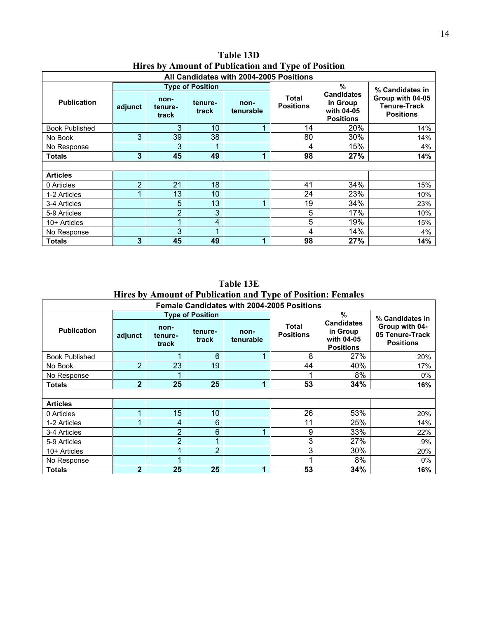| All Candidates with 2004-2005 Positions |                |                          |                         |                   |                           |                                                                 |                                                      |  |
|-----------------------------------------|----------------|--------------------------|-------------------------|-------------------|---------------------------|-----------------------------------------------------------------|------------------------------------------------------|--|
|                                         |                |                          | <b>Type of Position</b> |                   |                           | %                                                               | % Candidates in                                      |  |
| <b>Publication</b>                      | adjunct        | non-<br>tenure-<br>track | tenure-<br>track        | non-<br>tenurable | Total<br><b>Positions</b> | <b>Candidates</b><br>in Group<br>with 04-05<br><b>Positions</b> | Group with 04-05<br>Tenure-Track<br><b>Positions</b> |  |
| <b>Book Published</b>                   |                | 3                        | 10                      | 1                 | 14                        | 20%                                                             | 14%                                                  |  |
| No Book                                 | 3              | 39                       | 38                      |                   | 80                        | 30%                                                             | 14%                                                  |  |
| No Response                             |                | 3                        |                         |                   | 4                         | 15%                                                             | 4%                                                   |  |
| <b>Totals</b>                           | 3              | 45                       | 49                      | 1                 | 98                        | 27%                                                             | 14%                                                  |  |
|                                         |                |                          |                         |                   |                           |                                                                 |                                                      |  |
| <b>Articles</b>                         |                |                          |                         |                   |                           |                                                                 |                                                      |  |
| 0 Articles                              | $\overline{2}$ | 21                       | 18                      |                   | 41                        | 34%                                                             | 15%                                                  |  |
| 1-2 Articles                            |                | 13                       | 10                      |                   | 24                        | 23%                                                             | 10%                                                  |  |
| 3-4 Articles                            |                | 5                        | 13                      | и                 | 19                        | 34%                                                             | 23%                                                  |  |
| 5-9 Articles                            |                | $\overline{2}$           | 3                       |                   | 5                         | 17%                                                             | 10%                                                  |  |
| 10+ Articles                            |                | 1                        | 4                       |                   | 5                         | 19%                                                             | 15%                                                  |  |
| No Response                             |                | 3                        |                         |                   | 4                         | 14%                                                             | 4%                                                   |  |
| Totals                                  | 3              | 45                       | 49                      | 1                 | 98                        | 27%                                                             | 14%                                                  |  |

**Table 13D Hires by Amount of Publication and Type of Position** 

**Table 13E Hires by Amount of Publication and Type of Position: Females** 

| Female Candidates with 2004-2005 Positions |                |                          |                         |                   |                                  |                                                                 |                                                       |  |  |  |
|--------------------------------------------|----------------|--------------------------|-------------------------|-------------------|----------------------------------|-----------------------------------------------------------------|-------------------------------------------------------|--|--|--|
|                                            |                |                          | <b>Type of Position</b> |                   |                                  | $\%$                                                            | % Candidates in                                       |  |  |  |
| <b>Publication</b>                         | adjunct        | non-<br>tenure-<br>track | tenure-<br>track        | non-<br>tenurable | <b>Total</b><br><b>Positions</b> | <b>Candidates</b><br>in Group<br>with 04-05<br><b>Positions</b> | Group with 04-<br>05 Tenure-Track<br><b>Positions</b> |  |  |  |
| <b>Book Published</b>                      |                |                          | 6                       |                   | 8                                | 27%                                                             | 20%                                                   |  |  |  |
| No Book                                    | 2              | 23                       | 19                      |                   | 44                               | 40%                                                             | 17%                                                   |  |  |  |
| No Response                                |                |                          |                         |                   |                                  | 8%                                                              | 0%                                                    |  |  |  |
| <b>Totals</b>                              | $\overline{2}$ | 25                       | 25                      | 1                 | 53                               | 34%                                                             | 16%                                                   |  |  |  |
|                                            |                |                          |                         |                   |                                  |                                                                 |                                                       |  |  |  |
| <b>Articles</b>                            |                |                          |                         |                   |                                  |                                                                 |                                                       |  |  |  |
| 0 Articles                                 | ٠              | 15                       | 10                      |                   | 26                               | 53%                                                             | 20%                                                   |  |  |  |
| 1-2 Articles                               |                | 4                        | 6                       |                   | 11                               | 25%                                                             | 14%                                                   |  |  |  |
| 3-4 Articles                               |                | $\overline{2}$           | 6                       |                   | 9                                | 33%                                                             | 22%                                                   |  |  |  |
| 5-9 Articles                               |                | $\overline{2}$           |                         |                   | 3                                | 27%                                                             | 9%                                                    |  |  |  |
| 10+ Articles                               |                |                          | $\overline{2}$          |                   | 3                                | 30%                                                             | 20%                                                   |  |  |  |
| No Response                                |                |                          |                         |                   |                                  | 8%                                                              | $0\%$                                                 |  |  |  |
| <b>Totals</b>                              | $\overline{2}$ | 25                       | 25                      | 1                 | 53                               | 34%                                                             | 16%                                                   |  |  |  |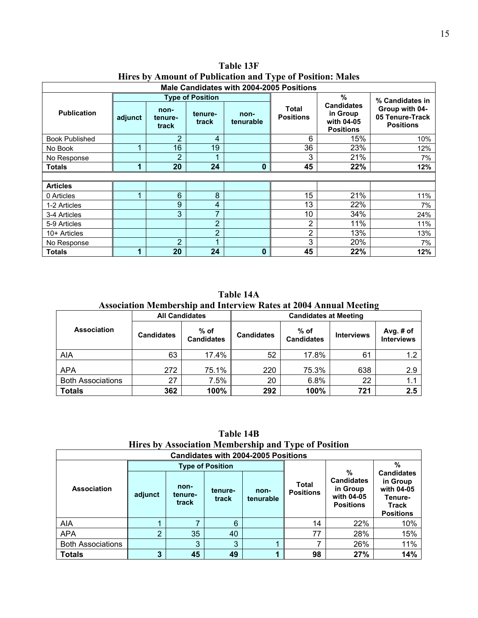| Male Candidates with 2004-2005 Positions |                      |                          |                         |                   |                           |                                                                 |                                                       |  |
|------------------------------------------|----------------------|--------------------------|-------------------------|-------------------|---------------------------|-----------------------------------------------------------------|-------------------------------------------------------|--|
|                                          |                      |                          | <b>Type of Position</b> |                   |                           | %                                                               | % Candidates in                                       |  |
| <b>Publication</b>                       | adjunct              | non-<br>tenure-<br>track | tenure-<br>track        | non-<br>tenurable | Total<br><b>Positions</b> | <b>Candidates</b><br>in Group<br>with 04-05<br><b>Positions</b> | Group with 04-<br>05 Tenure-Track<br><b>Positions</b> |  |
| <b>Book Published</b>                    |                      | $\overline{2}$           | 4                       |                   | 6                         | 15%                                                             | 10%                                                   |  |
| No Book                                  |                      | 16                       | 19                      |                   | 36                        | 23%                                                             | 12%                                                   |  |
| No Response                              |                      | $\overline{2}$           |                         |                   | 3                         | 21%                                                             | 7%                                                    |  |
| <b>Totals</b>                            | 1                    | 20                       | 24                      | 0                 | 45                        | 22%                                                             | 12%                                                   |  |
|                                          |                      |                          |                         |                   |                           |                                                                 |                                                       |  |
| <b>Articles</b>                          |                      |                          |                         |                   |                           |                                                                 |                                                       |  |
| 0 Articles                               | 4                    | 6                        | 8                       |                   | 15                        | 21%                                                             | 11%                                                   |  |
| 1-2 Articles                             |                      | 9                        | 4                       |                   | 13                        | 22%                                                             | 7%                                                    |  |
| 3-4 Articles                             |                      | 3                        | $\overline{7}$          |                   | 10                        | 34%                                                             | 24%                                                   |  |
| 5-9 Articles                             |                      |                          | $\overline{2}$          |                   | 2                         | 11%                                                             | 11%                                                   |  |
| 10+ Articles                             |                      |                          | 2                       |                   | 2                         | 13%                                                             | 13%                                                   |  |
| No Response                              |                      | $\overline{2}$           |                         |                   | 3                         | 20%                                                             | 7%                                                    |  |
| <b>Totals</b>                            | $\blacktriangleleft$ | 20                       | 24                      | 0                 | 45                        | 22%                                                             | 12%                                                   |  |

**Table 13F Hires by Amount of Publication and Type of Position: Males** 

**Table 14A Association Membership and Interview Rates at 2004 Annual Meeting** 

|                          | <b>All Candidates</b> |                           | <b>Candidates at Meeting</b> |                             |                   |                                |  |  |
|--------------------------|-----------------------|---------------------------|------------------------------|-----------------------------|-------------------|--------------------------------|--|--|
| <b>Association</b>       | <b>Candidates</b>     | % of<br><b>Candidates</b> | <b>Candidates</b>            | $%$ of<br><b>Candidates</b> | <b>Interviews</b> | Avg. # of<br><b>Interviews</b> |  |  |
| <b>AIA</b>               | 63                    | 17.4%                     | 52                           | 17.8%                       | 61                | 1.2                            |  |  |
| <b>APA</b>               | 272                   | 75.1%                     | 220                          | 75.3%                       | 638               | 2.9                            |  |  |
| <b>Both Associations</b> | 27                    | 7.5%                      | 20                           | 6.8%                        | 22                | 1.1                            |  |  |
| <b>Totals</b>            | 362                   | 100%                      | 292                          | 100%                        | 721               | 2.5                            |  |  |

**Table 14B Hires by Association Membership and Type of Position** 

| <b>Candidates with 2004-2005 Positions</b> |         |                          |                         |                   |                                  |                                                                      |                                                                                            |  |  |  |
|--------------------------------------------|---------|--------------------------|-------------------------|-------------------|----------------------------------|----------------------------------------------------------------------|--------------------------------------------------------------------------------------------|--|--|--|
|                                            |         |                          | <b>Type of Position</b> |                   |                                  |                                                                      | $\%$                                                                                       |  |  |  |
| <b>Association</b>                         | adjunct | non-<br>tenure-<br>track | tenure-<br>track        | non-<br>tenurable | <b>Total</b><br><b>Positions</b> | %<br><b>Candidates</b><br>in Group<br>with 04-05<br><b>Positions</b> | <b>Candidates</b><br>in Group<br>with 04-05<br>Tenure-<br><b>Track</b><br><b>Positions</b> |  |  |  |
| AIA                                        |         |                          | 6                       |                   | 14                               | 22%                                                                  | 10%                                                                                        |  |  |  |
| <b>APA</b>                                 | o       | 35                       | 40                      |                   | 77                               | 28%                                                                  | 15%                                                                                        |  |  |  |
| <b>Both Associations</b>                   |         | 3                        | 3                       |                   |                                  | 26%                                                                  | 11%                                                                                        |  |  |  |
| <b>Totals</b>                              | 3       | 45                       | 49                      |                   | 98                               | 27%                                                                  | 14%                                                                                        |  |  |  |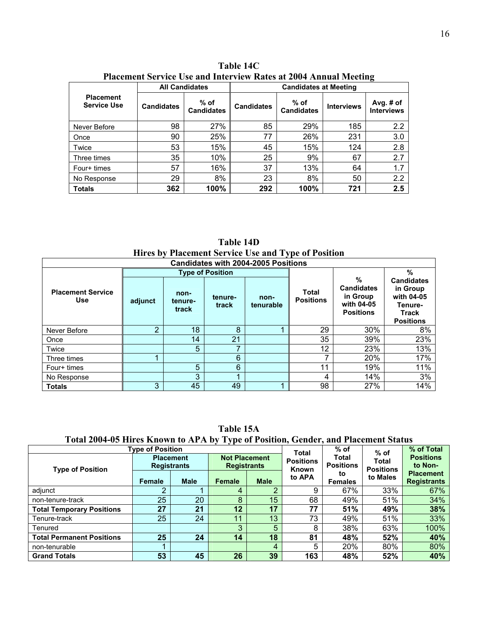| T RICCHICHT DEI VICE OSC ANU THIEI VIEW TXAIES AT 2007 TYMHUAI IVICEMIZ |                       |                             |                              |                           |                   |                                  |  |  |  |
|-------------------------------------------------------------------------|-----------------------|-----------------------------|------------------------------|---------------------------|-------------------|----------------------------------|--|--|--|
|                                                                         | <b>All Candidates</b> |                             | <b>Candidates at Meeting</b> |                           |                   |                                  |  |  |  |
| <b>Placement</b><br><b>Service Use</b>                                  | <b>Candidates</b>     | $%$ of<br><b>Candidates</b> | <b>Candidates</b>            | % of<br><b>Candidates</b> | <b>Interviews</b> | Avg. $#$ of<br><b>Interviews</b> |  |  |  |
| Never Before                                                            | 98                    | 27%                         | 85                           | 29%                       | 185               | $2.2\phantom{0}$                 |  |  |  |
| Once                                                                    | 90                    | 25%                         | 77                           | 26%                       | 231               | 3.0                              |  |  |  |
| Twice                                                                   | 53                    | 15%                         | 45                           | 15%                       | 124               | 2.8                              |  |  |  |
| Three times                                                             | 35                    | 10%                         | 25                           | 9%                        | 67                | 2.7                              |  |  |  |
| Four+ times                                                             | 57                    | 16%                         | 37                           | 13%                       | 64                | 1.7                              |  |  |  |
| No Response                                                             | 29                    | 8%                          | 23                           | 8%                        | 50                | 2.2                              |  |  |  |
| <b>Totals</b>                                                           | 362                   | 100%                        | 292                          | 100%                      | 721               | 2.5                              |  |  |  |

**Table 14C Placement Service Use and Interview Rates at 2004 Annual Meeting** 

**Table 14D Hires by Placement Service Use and Type of Position** 

| <b>Candidates with 2004-2005 Positions</b> |              |                          |                         |                   |                           |                                                                      |                                                                                            |  |  |  |
|--------------------------------------------|--------------|--------------------------|-------------------------|-------------------|---------------------------|----------------------------------------------------------------------|--------------------------------------------------------------------------------------------|--|--|--|
|                                            |              |                          | <b>Type of Position</b> |                   |                           |                                                                      | %                                                                                          |  |  |  |
| <b>Placement Service</b><br><b>Use</b>     | adjunct      | non-<br>tenure-<br>track | tenure-<br>track        | non-<br>tenurable | Total<br><b>Positions</b> | %<br><b>Candidates</b><br>in Group<br>with 04-05<br><b>Positions</b> | <b>Candidates</b><br>in Group<br>with 04-05<br>Tenure-<br><b>Track</b><br><b>Positions</b> |  |  |  |
| Never Before                               | っ            | 18                       | 8                       |                   | 29                        | 30%                                                                  | 8%                                                                                         |  |  |  |
| Once                                       |              | 14                       | 21                      |                   | 35                        | 39%                                                                  | 23%                                                                                        |  |  |  |
| Twice                                      |              | 5                        | 7                       |                   | 12                        | 23%                                                                  | 13%                                                                                        |  |  |  |
| Three times                                |              |                          | 6                       |                   | ⇁                         | 20%                                                                  | 17%                                                                                        |  |  |  |
| Four+ times                                |              | 5                        | 6                       |                   | 11                        | 19%                                                                  | 11%                                                                                        |  |  |  |
| No Response                                |              | 3                        |                         |                   | 4                         | 14%                                                                  | 3%                                                                                         |  |  |  |
| <b>Totals</b>                              | $\mathbf{3}$ | 45                       | 49                      |                   | 98                        | 27%                                                                  | 14%                                                                                        |  |  |  |

**Table 15A** 

**Total 2004-05 Hires Known to APA by Type of Position, Gender, and Placement Status** 

| <b>Type of Position</b>          |                                        |                 |                                            |             |                                           | $%$ of                    | $%$ of                    | % of Total                             |
|----------------------------------|----------------------------------------|-----------------|--------------------------------------------|-------------|-------------------------------------------|---------------------------|---------------------------|----------------------------------------|
| <b>Type of Position</b>          | <b>Placement</b><br><b>Registrants</b> |                 | <b>Not Placement</b><br><b>Registrants</b> |             | Total<br><b>Positions</b><br><b>Known</b> | Total<br><b>Positions</b> | Total<br><b>Positions</b> | <b>Positions</b><br>to Non-            |
|                                  | <b>Female</b>                          | <b>Male</b>     | <b>Female</b>                              | <b>Male</b> | to APA                                    | to<br><b>Females</b>      | to Males                  | <b>Placement</b><br><b>Registrants</b> |
| adjunct                          | 2                                      |                 |                                            | っ           | 9                                         | 67%                       | 33%                       | 67%                                    |
| non-tenure-track                 | 25                                     | 20 <sup>°</sup> | 8                                          | 15          | 68                                        | 49%                       | 51%                       | 34%                                    |
| <b>Total Temporary Positions</b> | 27                                     | 21              | 12                                         | 17          | 77                                        | 51%                       | 49%                       | 38%                                    |
| Tenure-track                     | 25                                     | 24              | 11                                         | 13          | 73                                        | 49%                       | 51%                       | 33%                                    |
| Tenured                          |                                        |                 | 3                                          | 5           | 8                                         | 38%                       | 63%                       | 100%                                   |
| <b>Total Permanent Positions</b> | 25                                     | 24              | 14                                         | 18          | 81                                        | 48%                       | 52%                       | 40%                                    |
| non-tenurable                    |                                        |                 |                                            | 4           | 5                                         | 20%                       | 80%                       | 80%                                    |
| <b>Grand Totals</b>              | 53                                     | 45              | 26                                         | 39          | 163                                       | 48%                       | 52%                       | 40%                                    |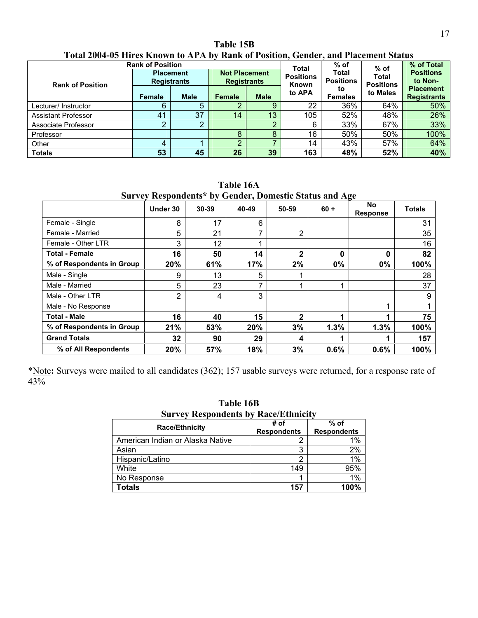# **Table 15B Total 2004-05 Hires Known to APA by Rank of Position, Gender, and Placement Status**

| <b>Rank of Position</b>    | <b>Total</b>                           | $%$ of      | $%$ of                                     | % of Total  |                                  |                           |                           |                                        |
|----------------------------|----------------------------------------|-------------|--------------------------------------------|-------------|----------------------------------|---------------------------|---------------------------|----------------------------------------|
| <b>Rank of Position</b>    | <b>Placement</b><br><b>Registrants</b> |             | <b>Not Placement</b><br><b>Registrants</b> |             | <b>Positions</b><br><b>Known</b> | Total<br><b>Positions</b> | Total<br><b>Positions</b> | <b>Positions</b><br>to Non-            |
|                            | Female                                 | <b>Male</b> | <b>Female</b>                              | <b>Male</b> | to APA                           | to<br><b>Females</b>      | to Males                  | <b>Placement</b><br><b>Registrants</b> |
| Lecturer/ Instructor       | 6                                      | 5           |                                            | 9           | 22                               | 36%                       | 64%                       | 50%                                    |
| <b>Assistant Professor</b> | 41                                     | 37          | 14                                         | 13          | 105                              | 52%                       | 48%                       | 26%                                    |
| Associate Professor        | ာ                                      | $\sim$      |                                            |             |                                  | 33%                       | 67%                       | 33%                                    |
| Professor                  |                                        |             | 8                                          | 8           | 16                               | 50%                       | 50%                       | 100%                                   |
| Other                      | 4                                      |             |                                            |             | 14                               | 43%                       | 57%                       | 64%                                    |
| <b>Totals</b>              | 53                                     | 45          | 26                                         | 39          | 163                              | 48%                       | 52%                       | 40%                                    |

**Table 16A** 

| Survey Respondents* by Gender, Domestic Status and Age |          |       |       |              |        |                        |               |  |  |
|--------------------------------------------------------|----------|-------|-------|--------------|--------|------------------------|---------------|--|--|
|                                                        | Under 30 | 30-39 | 40-49 | 50-59        | $60 +$ | No.<br><b>Response</b> | <b>Totals</b> |  |  |
| Female - Single                                        | 8        | 17    | 6     |              |        |                        | 31            |  |  |
| Female - Married                                       | 5        | 21    | ⇁     | 2            |        |                        | 35            |  |  |
| Female - Other LTR                                     | 3        | 12    |       |              |        |                        | 16            |  |  |
| <b>Total - Female</b>                                  | 16       | 50    | 14    | 2            | 0      | $\mathbf{0}$           | 82            |  |  |
| % of Respondents in Group                              | 20%      | 61%   | 17%   | 2%           | 0%     | $0\%$                  | 100%          |  |  |
| Male - Single                                          | 9        | 13    | 5     |              |        |                        | 28            |  |  |
| Male - Married                                         | 5        | 23    | 7     |              |        |                        | 37            |  |  |
| Male - Other LTR                                       | 2        | 4     | 3     |              |        |                        | 9             |  |  |
| Male - No Response                                     |          |       |       |              |        |                        |               |  |  |
| <b>Total - Male</b>                                    | 16       | 40    | 15    | $\mathbf{2}$ |        |                        | 75            |  |  |
| % of Respondents in Group                              | 21%      | 53%   | 20%   | 3%           | 1.3%   | 1.3%                   | 100%          |  |  |
| <b>Grand Totals</b>                                    | 32       | 90    | 29    | 4            |        |                        | 157           |  |  |
| % of All Respondents                                   | 20%      | 57%   | 18%   | 3%           | 0.6%   | 0.6%                   | 100%          |  |  |

\*Note**:** Surveys were mailed to all candidates (362); 157 usable surveys were returned, for a response rate of  $43%$ 

| Table 16B                                   |
|---------------------------------------------|
| <b>Survey Respondents by Race/Ethnicity</b> |

| <b>Race/Ethnicity</b>            | # of<br><b>Respondents</b> | $%$ of<br><b>Respondents</b> |
|----------------------------------|----------------------------|------------------------------|
| American Indian or Alaska Native |                            | 1%                           |
| Asian                            | 3                          | 2%                           |
| Hispanic/Latino                  | 2                          | 1%                           |
| White                            | 149                        | 95%                          |
| No Response                      |                            | 1%                           |
| <b>Totals</b>                    | 157                        | 100%                         |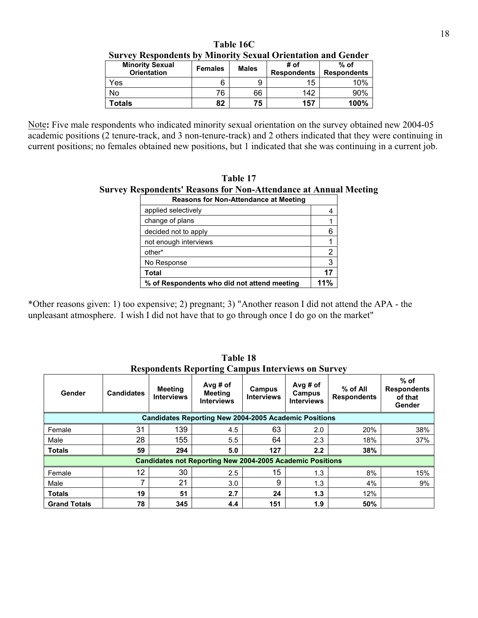| Dui vev ixespondents by minority bexuar orientation and dender |                |              |                    |                              |  |  |  |  |  |
|----------------------------------------------------------------|----------------|--------------|--------------------|------------------------------|--|--|--|--|--|
| <b>Minority Sexual</b>                                         | <b>Females</b> | <b>Males</b> | # of               | $%$ of<br><b>Respondents</b> |  |  |  |  |  |
| <b>Orientation</b>                                             |                |              | <b>Respondents</b> |                              |  |  |  |  |  |
| Yes                                                            |                |              | 15                 | 10%                          |  |  |  |  |  |
| No                                                             | 76             | 66           | 142                | 90%                          |  |  |  |  |  |
| Totals                                                         | 82             | 75           | 157                | 100%                         |  |  |  |  |  |

**Table 16C Survey Respondents by Minority Sexual Orientation and Gender** 

Note**:** Five male respondents who indicated minority sexual orientation on the survey obtained new 2004-05 academic positions (2 tenure-track, and 3 non-tenure-track) and 2 others indicated that they were continuing in current positions; no females obtained new positions, but 1 indicated that she was continuing in a current job.

**Table 17 Survey Respondents' Reasons for Non-Attendance at Annual Meeting**

| <b>Reasons for Non-Attendance at Meeting</b> |     |
|----------------------------------------------|-----|
| applied selectively                          |     |
| change of plans                              |     |
| decided not to apply                         | 6   |
| not enough interviews                        |     |
| other*                                       | 2   |
| No Response                                  | 3   |
| Total                                        | 17  |
| % of Respondents who did not attend meeting  | 11% |

\*Other reasons given: 1) too expensive; 2) pregnant; 3) "Another reason I did not attend the APA - the unpleasant atmosphere. I wish I did not have that to go through once I do go on the market"

|                     |                   |                                     | Respondence reporting Campus meet tiens on Survey                |                             |                                         |                                  |                                                   |
|---------------------|-------------------|-------------------------------------|------------------------------------------------------------------|-----------------------------|-----------------------------------------|----------------------------------|---------------------------------------------------|
| Gender              | <b>Candidates</b> | <b>Meeting</b><br><b>Interviews</b> | Avg # of<br><b>Meeting</b><br><b>Interviews</b>                  | Campus<br><b>Interviews</b> | Avg # of<br>Campus<br><b>Interviews</b> | $%$ of All<br><b>Respondents</b> | $%$ of<br><b>Respondents</b><br>of that<br>Gender |
|                     |                   |                                     | <b>Candidates Reporting New 2004-2005 Academic Positions</b>     |                             |                                         |                                  |                                                   |
| Female              | 31                | 139                                 | 4.5                                                              | 63                          | 2.0                                     | 20%                              | 38%                                               |
| Male                | 28                | 155                                 | 5.5                                                              | 64                          | 2.3                                     | 18%                              | 37%                                               |
| <b>Totals</b>       | 59                | 294                                 | 5.0                                                              | 127                         | 2.2                                     | 38%                              |                                                   |
|                     |                   |                                     | <b>Candidates not Reporting New 2004-2005 Academic Positions</b> |                             |                                         |                                  |                                                   |
| Female              | 12                | 30                                  | $2.5\,$                                                          | 15                          | 1.3                                     | 8%                               | 15%                                               |
| Male                |                   | 21                                  | 3.0                                                              | 9                           | 1.3                                     | 4%                               | 9%                                                |
| <b>Totals</b>       | 19                | 51                                  | 2.7                                                              | 24                          | 1.3                                     | 12%                              |                                                   |
| <b>Grand Totals</b> | 78                | 345                                 | 4.4                                                              | 151                         | 1.9                                     | 50%                              |                                                   |

**Table 18 Respondents Reporting Campus Interviews on Survey**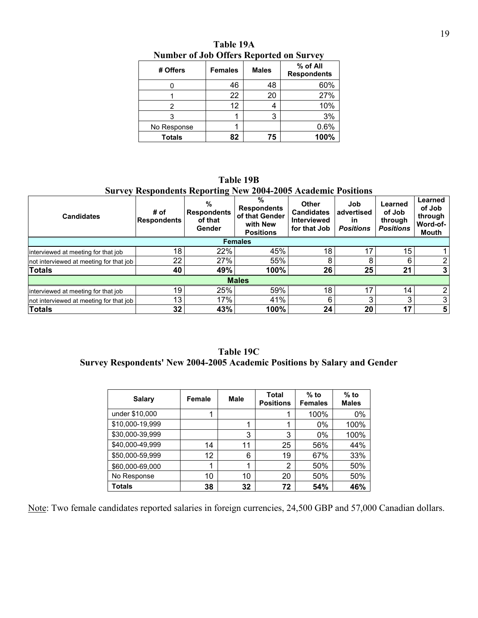| $\mathbf{F}$ and $\mathbf{F}$ and $\mathbf{F}$ are $\mathbf{F}$ are $\mathbf{F}$ and $\mathbf{F}$ are $\mathbf{F}$ |                |              |                                |  |  |  |  |  |
|--------------------------------------------------------------------------------------------------------------------|----------------|--------------|--------------------------------|--|--|--|--|--|
| # Offers                                                                                                           | <b>Females</b> | <b>Males</b> | % of All<br><b>Respondents</b> |  |  |  |  |  |
|                                                                                                                    | 46             | 48           | 60%                            |  |  |  |  |  |
|                                                                                                                    | 22             | 20           | 27%                            |  |  |  |  |  |
|                                                                                                                    | 12             |              | 10%                            |  |  |  |  |  |
|                                                                                                                    |                |              | 3%                             |  |  |  |  |  |
| No Response                                                                                                        |                |              | 0.6%                           |  |  |  |  |  |
| <b>Totals</b>                                                                                                      | 82             | 75           | 100%                           |  |  |  |  |  |

**Table 19A Number of Job Offers Reported on Survey**

**Table 19B Survey Respondents Reporting New 2004-2005 Academic Positions**

| <b>Candidates</b>                       | # of<br><b>Respondents</b> | $\epsilon$<br>%<br><b>Respondents</b><br>of that<br>Gender | %<br><b>Respondents</b><br>of that Gender<br>with New<br><b>Positions</b> | <b>Other</b><br><b>Candidates</b><br>Interviewed<br>for that Job | Job<br>advertised<br><b>in</b><br><b>Positions</b> | Learned<br>of Job<br>through<br><b>Positions</b> | Learned<br>of Job<br>through<br>Word-of-<br>Mouth |  |  |  |  |
|-----------------------------------------|----------------------------|------------------------------------------------------------|---------------------------------------------------------------------------|------------------------------------------------------------------|----------------------------------------------------|--------------------------------------------------|---------------------------------------------------|--|--|--|--|
|                                         | <b>Females</b>             |                                                            |                                                                           |                                                                  |                                                    |                                                  |                                                   |  |  |  |  |
| interviewed at meeting for that job     | 18                         | 22%                                                        | 45%                                                                       | 18                                                               | 17                                                 | 15                                               |                                                   |  |  |  |  |
| not interviewed at meeting for that job | 22                         | 27%                                                        | 55%                                                                       | 8                                                                | 8                                                  | 6                                                | 2 <sub>1</sub>                                    |  |  |  |  |
| <b>Totals</b>                           | 40                         | 49%                                                        | 100%                                                                      | 26                                                               | 25                                                 | 21                                               | 3                                                 |  |  |  |  |
| <b>Males</b>                            |                            |                                                            |                                                                           |                                                                  |                                                    |                                                  |                                                   |  |  |  |  |
| interviewed at meeting for that job     | 19                         | 25%                                                        | 59%                                                                       | 18                                                               | 17                                                 | 14 <sub>1</sub>                                  | $\overline{2}$                                    |  |  |  |  |
| not interviewed at meeting for that job | 13                         | 17%                                                        | 41%                                                                       | 6                                                                | ົ                                                  | 3                                                | 3 <sup>1</sup>                                    |  |  |  |  |
| <b>Totals</b>                           | 32                         | 43%                                                        | 100%                                                                      | 24                                                               | 20                                                 | 17                                               | 5 <sup>1</sup>                                    |  |  |  |  |

| Table 19C                                                                 |  |
|---------------------------------------------------------------------------|--|
| Survey Respondents' New 2004-2005 Academic Positions by Salary and Gender |  |

| <b>Salary</b>   | Female | <b>Male</b> | Total<br><b>Positions</b> | $%$ to<br><b>Females</b> | $%$ to<br><b>Males</b> |
|-----------------|--------|-------------|---------------------------|--------------------------|------------------------|
| under \$10,000  |        |             |                           | 100%                     | $0\%$                  |
| \$10,000-19,999 |        |             |                           | $0\%$                    | 100%                   |
| \$30,000-39,999 |        | 3           | 3                         | $0\%$                    | 100%                   |
| \$40,000-49,999 | 14     | 11          | 25                        | 56%                      | 44%                    |
| \$50,000-59,999 | 12     | 6           | 19                        | 67%                      | 33%                    |
| \$60,000-69,000 |        |             | 2                         | 50%                      | 50%                    |
| No Response     | 10     | 10          | 20                        | 50%                      | 50%                    |
| Totals          | 38     | 32          | 72                        | 54%                      | 46%                    |

Note: Two female candidates reported salaries in foreign currencies, 24,500 GBP and 57,000 Canadian dollars.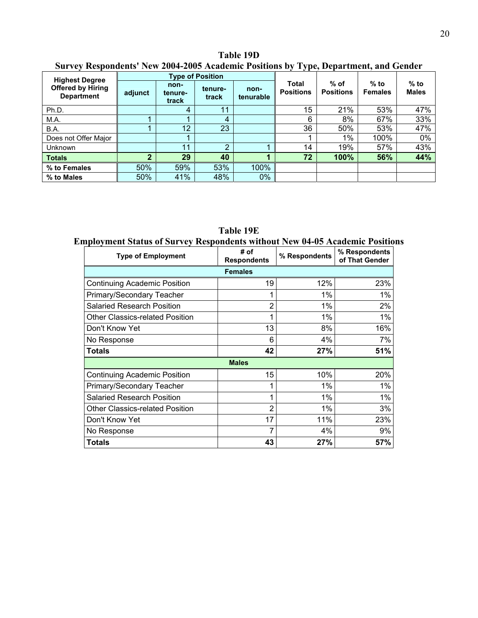**Table 19D Survey Respondents' New 2004-2005 Academic Positions by Type, Department, and Gender** 

| <b>Highest Degree</b>                         |         |                          | <b>Type of Position</b> |                   |                                  |                            |                          |                        |  |
|-----------------------------------------------|---------|--------------------------|-------------------------|-------------------|----------------------------------|----------------------------|--------------------------|------------------------|--|
| <b>Offered by Hiring</b><br><b>Department</b> | adjunct | non-<br>tenure-<br>track | tenure-<br>track        | non-<br>tenurable | <b>Total</b><br><b>Positions</b> | $%$ of<br><b>Positions</b> | $%$ to<br><b>Females</b> | $%$ to<br><b>Males</b> |  |
| Ph.D.                                         |         | 4                        | 11                      |                   | 15                               | 21%                        | 53%                      | 47%                    |  |
| M.A.                                          |         |                          | 4                       |                   | 6                                | 8%                         | 67%                      | 33%                    |  |
| B.A.                                          |         | 12                       | 23                      |                   | 36                               | 50%                        | 53%                      | 47%                    |  |
| Does not Offer Major                          |         |                          |                         |                   |                                  | $1\%$                      | 100%                     | 0%                     |  |
| Unknown                                       |         | 11                       | ∩                       |                   | 14                               | 19%                        | 57%                      | 43%                    |  |
| <b>Totals</b>                                 | າ       | 29                       | 40                      |                   | 72                               | 100%                       | 56%                      | 44%                    |  |
| % to Females                                  | 50%     | 59%                      | 53%                     | 100%              |                                  |                            |                          |                        |  |
| % to Males                                    | 50%     | 41%                      | 48%                     | $0\%$             |                                  |                            |                          |                        |  |

#### **Table 19E**

## **Employment Status of Survey Respondents without New 04-05 Academic Positions**

| <b>Type of Employment</b>              | # of<br><b>Respondents</b> | % Respondents | % Respondents<br>of That Gender |
|----------------------------------------|----------------------------|---------------|---------------------------------|
|                                        | <b>Females</b>             |               |                                 |
| <b>Continuing Academic Position</b>    | 19                         | 12%           | 23%                             |
| Primary/Secondary Teacher              |                            | 1%            | 1%                              |
| <b>Salaried Research Position</b>      | 2                          | $1\%$         | 2%                              |
| <b>Other Classics-related Position</b> |                            | $1\%$         | $1\%$                           |
| Don't Know Yet                         | 13                         | 8%            | 16%                             |
| No Response                            | 6                          | 4%            | 7%                              |
| <b>Totals</b>                          | 42                         | 27%           | 51%                             |
|                                        | <b>Males</b>               |               |                                 |
| <b>Continuing Academic Position</b>    | 15                         | 10%           | 20%                             |
| Primary/Secondary Teacher              |                            | $1\%$         | 1%                              |
| <b>Salaried Research Position</b>      | 1                          | $1\%$         | $1\%$                           |
| <b>Other Classics-related Position</b> | 2                          | $1\%$         | 3%                              |
| Don't Know Yet                         | 17                         | 11%           | 23%                             |
| No Response                            | 7                          | 4%            | 9%                              |
| Totals                                 | 43                         | 27%           | 57%                             |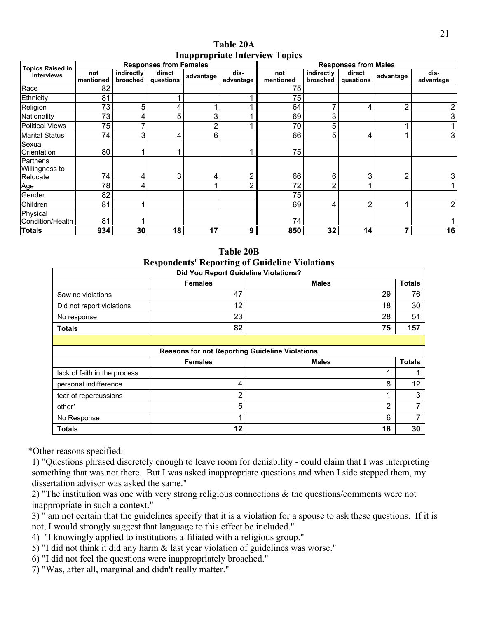| Table 20A                             |  |
|---------------------------------------|--|
| <b>Inappropriate Interview Topics</b> |  |

| <b>Topics Raised in</b>                 |                  |                        | <b>Responses from Females</b><br><b>Responses from Males</b> |           |                   |                  |                        |                     |                |                   |  |
|-----------------------------------------|------------------|------------------------|--------------------------------------------------------------|-----------|-------------------|------------------|------------------------|---------------------|----------------|-------------------|--|
| <b>Interviews</b>                       | not<br>mentioned | indirectly<br>broached | direct<br>questions                                          | advantage | dis-<br>advantage | not<br>mentioned | indirectly<br>broached | direct<br>questions | advantage      | dis-<br>advantage |  |
| Race                                    | 82               |                        |                                                              |           |                   | 75               |                        |                     |                |                   |  |
| Ethnicity                               | 81               |                        |                                                              |           |                   | 75               |                        |                     |                |                   |  |
| Religion                                | 73               | 5                      | 4                                                            |           |                   | 64               |                        | 4                   | 2              | 2                 |  |
| Nationality                             | 73               | 4                      | 5                                                            | 3         |                   | 69               | 3                      |                     |                | 3                 |  |
| <b>Political Views</b>                  | 75               |                        |                                                              | n         |                   | 70               | 5                      |                     |                |                   |  |
| <b>Marital Status</b>                   | 74               | 3                      | 4                                                            | 6         |                   | 66               | 5                      | 4                   |                | 3                 |  |
| Sexual<br>Orientation                   | 80               |                        |                                                              |           |                   | 75               |                        |                     |                |                   |  |
| Partner's<br>Willingness to<br>Relocate | 74               | 4                      | 3                                                            | 4         | າ                 | 66               | 6                      | 3                   | $\overline{2}$ | 3                 |  |
| Age                                     | 78               | 4                      |                                                              |           | 2                 | 72               | $\overline{2}$         |                     |                |                   |  |
| Gender                                  | 82               |                        |                                                              |           |                   | 75               |                        |                     |                |                   |  |
| Children                                | 81               |                        |                                                              |           |                   | 69               | 4                      | 2                   |                | $\overline{2}$    |  |
| Physical<br>Condition/Health            | 81               |                        |                                                              |           |                   | 74               |                        |                     |                |                   |  |
| <b>Totals</b>                           | 934              | 30                     | 18                                                           | 17        | 9                 | 850              | 32                     | 14                  | ⇁              | 16                |  |

**Table 20B Respondents' Reporting of Guideline Violations** 

| Did You Report Guideline Violations? |                                                       |              |    |               |  |  |  |  |
|--------------------------------------|-------------------------------------------------------|--------------|----|---------------|--|--|--|--|
|                                      | <b>Females</b>                                        | <b>Males</b> |    | <b>Totals</b> |  |  |  |  |
| Saw no violations                    | 47                                                    |              | 29 | 76            |  |  |  |  |
| Did not report violations            | 12                                                    |              | 18 | 30            |  |  |  |  |
| No response                          | 23                                                    |              | 28 | 51            |  |  |  |  |
| <b>Totals</b>                        | 82                                                    |              | 75 | 157           |  |  |  |  |
|                                      |                                                       |              |    |               |  |  |  |  |
|                                      | <b>Reasons for not Reporting Guideline Violations</b> |              |    |               |  |  |  |  |
|                                      | <b>Females</b>                                        | <b>Males</b> |    | <b>Totals</b> |  |  |  |  |
| lack of faith in the process         |                                                       |              |    |               |  |  |  |  |
| personal indifference                | 4                                                     |              | 8  | 12            |  |  |  |  |
| fear of repercussions                | 2                                                     |              |    | 3             |  |  |  |  |
| other*                               | 5                                                     |              | 2  |               |  |  |  |  |
| No Response                          | ◢                                                     |              | 6  |               |  |  |  |  |
| <b>Totals</b>                        | 12                                                    |              | 18 | 30            |  |  |  |  |

\*Other reasons specified:

1) "Questions phrased discretely enough to leave room for deniability - could claim that I was interpreting something that was not there. But I was asked inappropriate questions and when I side stepped them, my dissertation advisor was asked the same."

2) "The institution was one with very strong religious connections & the questions/comments were not inappropriate in such a context."

3) " am not certain that the guidelines specify that it is a violation for a spouse to ask these questions. If it is not, I would strongly suggest that language to this effect be included."

4) "I knowingly applied to institutions affiliated with a religious group."

5) "I did not think it did any harm & last year violation of guidelines was worse."

6) "I did not feel the questions were inappropriately broached."

7) "Was, after all, marginal and didn't really matter."